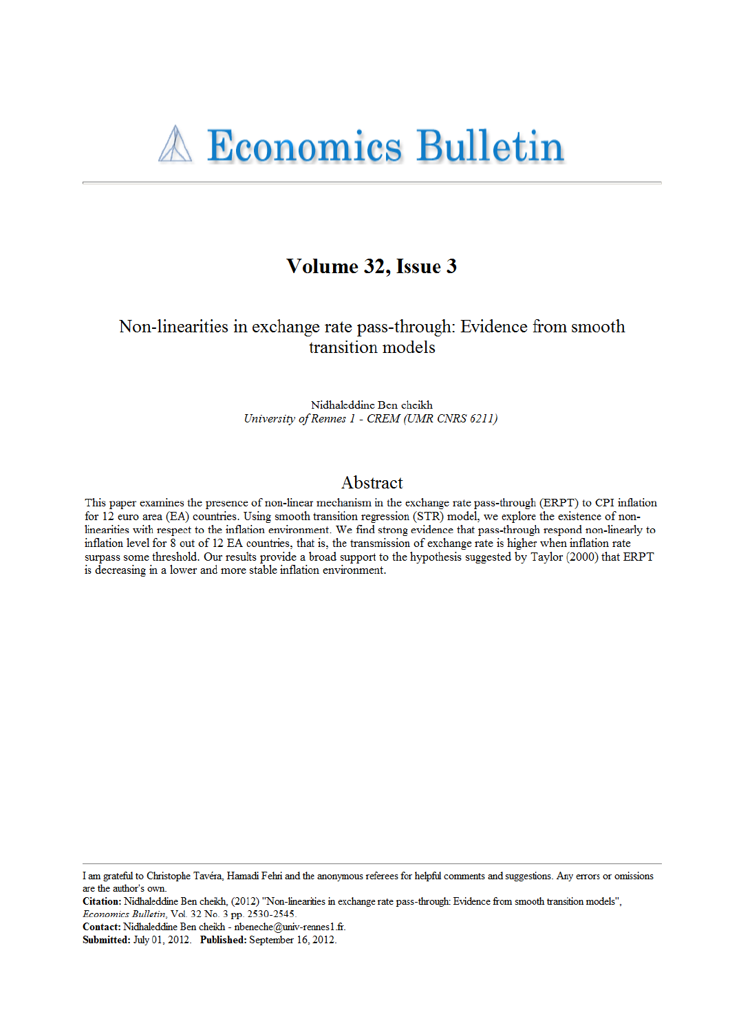## Volume 32, Issue 3

#### Non-linearities in exchange rate pass-through: Evidence from smooth transition models

Nidhaleddine Ben cheikh University of Rennes 1 - CREM (UMR CNRS 6211)

#### Abstract

This paper examines the presence of non-linear mechanism in the exchange rate pass-through (ERPT) to CPI inflation for 12 euro area (EA) countries. Using smooth transition regression (STR) model, we explore the existence of nonlinearities with respect to the inflation environment. We find strong evidence that pass-through respond non-linearly to inflation level for 8 out of 12 EA countries, that is, the transmission of exchange rate is higher when inflation rate surpass some threshold. Our results provide a broad support to the hypothesis suggested by Taylor (2000) that ERPT is decreasing in a lower and more stable inflation environment.

I am grateful to Christophe Tavéra, Hamadi Fehri and the anonymous referees for helpful comments and suggestions. Any errors or omissions are the author's own.

Citation: Nidhaleddine Ben cheikh, (2012) "Non-linearities in exchange rate pass-through: Evidence from smooth transition models", Economics Bulletin, Vol. 32 No. 3 pp. 2530-2545.

Contact: Nidhaleddine Ben cheikh - nbeneche@univ-rennes1.fr.

Submitted: July 01, 2012. Published: September 16, 2012.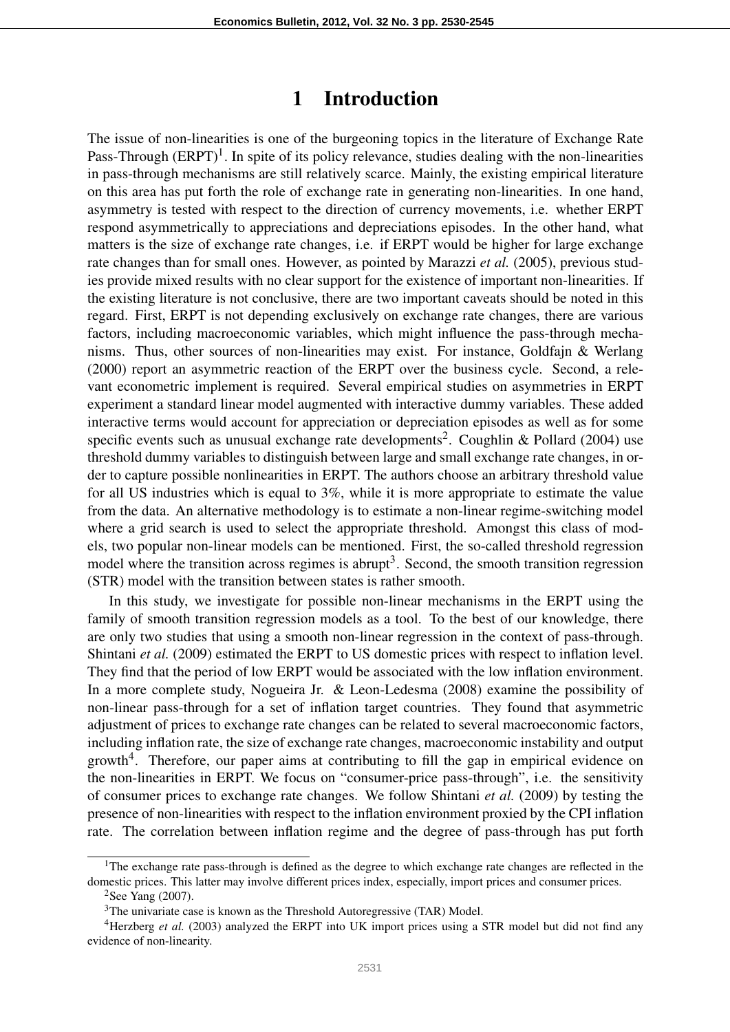#### 1 Introduction

The issue of non-linearities is one of the burgeoning topics in the literature of Exchange Rate Pass-Through  $(ERPT)^1$ . In spite of its policy relevance, studies dealing with the non-linearities in pass-through mechanisms are still relatively scarce. Mainly, the existing empirical literature on this area has put forth the role of exchange rate in generating non-linearities. In one hand, asymmetry is tested with respect to the direction of currency movements, i.e. whether ERPT respond asymmetrically to appreciations and depreciations episodes. In the other hand, what matters is the size of exchange rate changes, i.e. if ERPT would be higher for large exchange rate changes than for small ones. However, as pointed by Marazzi *et al.* (2005), previous studies provide mixed results with no clear support for the existence of important non-linearities. If the existing literature is not conclusive, there are two important caveats should be noted in this regard. First, ERPT is not depending exclusively on exchange rate changes, there are various factors, including macroeconomic variables, which might influence the pass-through mechanisms. Thus, other sources of non-linearities may exist. For instance, Goldfajn & Werlang (2000) report an asymmetric reaction of the ERPT over the business cycle. Second, a relevant econometric implement is required. Several empirical studies on asymmetries in ERPT experiment a standard linear model augmented with interactive dummy variables. These added interactive terms would account for appreciation or depreciation episodes as well as for some specific events such as unusual exchange rate developments<sup>2</sup>. Coughlin & Pollard (2004) use threshold dummy variables to distinguish between large and small exchange rate changes, in order to capture possible nonlinearities in ERPT. The authors choose an arbitrary threshold value for all US industries which is equal to 3%, while it is more appropriate to estimate the value from the data. An alternative methodology is to estimate a non-linear regime-switching model where a grid search is used to select the appropriate threshold. Amongst this class of models, two popular non-linear models can be mentioned. First, the so-called threshold regression model where the transition across regimes is abrupt<sup>3</sup>. Second, the smooth transition regression (STR) model with the transition between states is rather smooth.

In this study, we investigate for possible non-linear mechanisms in the ERPT using the family of smooth transition regression models as a tool. To the best of our knowledge, there are only two studies that using a smooth non-linear regression in the context of pass-through. Shintani *et al.* (2009) estimated the ERPT to US domestic prices with respect to inflation level. They find that the period of low ERPT would be associated with the low inflation environment. In a more complete study, Nogueira Jr. & Leon-Ledesma (2008) examine the possibility of non-linear pass-through for a set of inflation target countries. They found that asymmetric adjustment of prices to exchange rate changes can be related to several macroeconomic factors, including inflation rate, the size of exchange rate changes, macroeconomic instability and output growth<sup>4</sup>. Therefore, our paper aims at contributing to fill the gap in empirical evidence on the non-linearities in ERPT. We focus on "consumer-price pass-through", i.e. the sensitivity of consumer prices to exchange rate changes. We follow Shintani *et al.* (2009) by testing the presence of non-linearities with respect to the inflation environment proxied by the CPI inflation rate. The correlation between inflation regime and the degree of pass-through has put forth

<sup>&</sup>lt;sup>1</sup>The exchange rate pass-through is defined as the degree to which exchange rate changes are reflected in the domestic prices. This latter may involve different prices index, especially, import prices and consumer prices.

 ${}^{2}$ See Yang (2007).

<sup>&</sup>lt;sup>3</sup>The univariate case is known as the Threshold Autoregressive (TAR) Model.

<sup>4</sup>Herzberg *et al.* (2003) analyzed the ERPT into UK import prices using a STR model but did not find any evidence of non-linearity.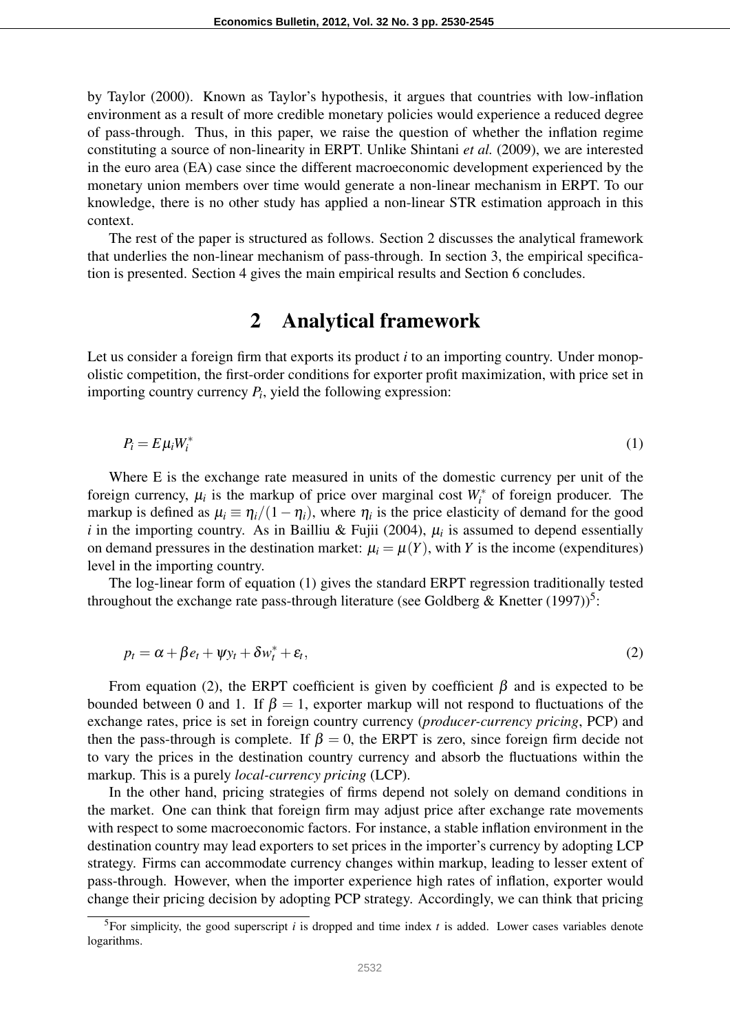by Taylor (2000). Known as Taylor's hypothesis, it argues that countries with low-inflation environment as a result of more credible monetary policies would experience a reduced degree of pass-through. Thus, in this paper, we raise the question of whether the inflation regime constituting a source of non-linearity in ERPT. Unlike Shintani *et al.* (2009), we are interested in the euro area (EA) case since the different macroeconomic development experienced by the monetary union members over time would generate a non-linear mechanism in ERPT. To our knowledge, there is no other study has applied a non-linear STR estimation approach in this context.

The rest of the paper is structured as follows. Section 2 discusses the analytical framework that underlies the non-linear mechanism of pass-through. In section 3, the empirical specification is presented. Section 4 gives the main empirical results and Section 6 concludes.

### 2 Analytical framework

Let us consider a foreign firm that exports its product  $i$  to an importing country. Under monopolistic competition, the first-order conditions for exporter profit maximization, with price set in importing country currency *P<sup>i</sup>* , yield the following expression:

$$
P_i = E \mu_i W_i^* \tag{1}
$$

Where E is the exchange rate measured in units of the domestic currency per unit of the foreign currency,  $\mu_i$  is the markup of price over marginal cost  $W_i^*$  of foreign producer. The markup is defined as  $\mu_i \equiv \eta_i/(1-\eta_i)$ , where  $\eta_i$  is the price elasticity of demand for the good *i* in the importing country. As in Bailliu & Fujii (2004),  $\mu_i$  is assumed to depend essentially on demand pressures in the destination market:  $\mu_i = \mu(Y)$ , with *Y* is the income (expenditures) level in the importing country.

The log-linear form of equation (1) gives the standard ERPT regression traditionally tested throughout the exchange rate pass-through literature (see Goldberg & Knetter  $(1997)$ )<sup>5</sup>:

$$
p_t = \alpha + \beta e_t + \psi y_t + \delta w_t^* + \varepsilon_t, \tag{2}
$$

From equation (2), the ERPT coefficient is given by coefficient  $\beta$  and is expected to be bounded between 0 and 1. If  $\beta = 1$ , exporter markup will not respond to fluctuations of the exchange rates, price is set in foreign country currency (*producer-currency pricing*, PCP) and then the pass-through is complete. If  $\beta = 0$ , the ERPT is zero, since foreign firm decide not to vary the prices in the destination country currency and absorb the fluctuations within the markup. This is a purely *local-currency pricing* (LCP).

In the other hand, pricing strategies of firms depend not solely on demand conditions in the market. One can think that foreign firm may adjust price after exchange rate movements with respect to some macroeconomic factors. For instance, a stable inflation environment in the destination country may lead exporters to set prices in the importer's currency by adopting LCP strategy. Firms can accommodate currency changes within markup, leading to lesser extent of pass-through. However, when the importer experience high rates of inflation, exporter would change their pricing decision by adopting PCP strategy. Accordingly, we can think that pricing

<sup>&</sup>lt;sup>5</sup>For simplicity, the good superscript  $i$  is dropped and time index  $t$  is added. Lower cases variables denote logarithms.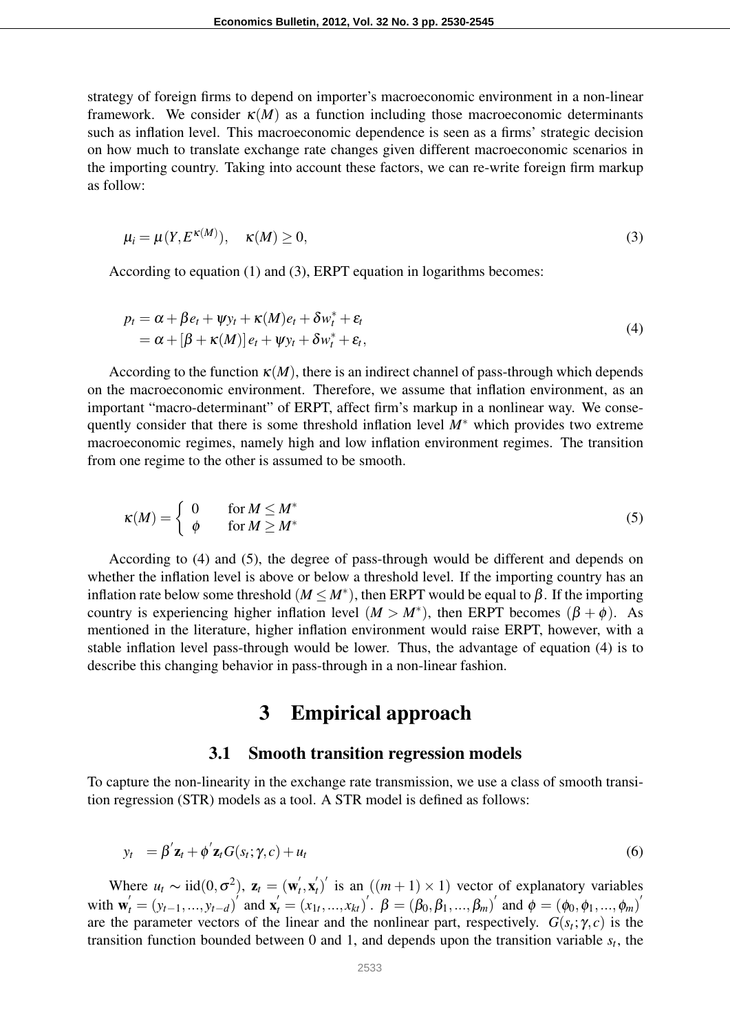strategy of foreign firms to depend on importer's macroeconomic environment in a non-linear framework. We consider  $\kappa(M)$  as a function including those macroeconomic determinants such as inflation level. This macroeconomic dependence is seen as a firms' strategic decision on how much to translate exchange rate changes given different macroeconomic scenarios in the importing country. Taking into account these factors, we can re-write foreign firm markup as follow:

$$
\mu_i = \mu(Y, E^{\kappa(M)}), \quad \kappa(M) \ge 0,
$$
\n(3)

According to equation (1) and (3), ERPT equation in logarithms becomes:

$$
p_t = \alpha + \beta e_t + \psi y_t + \kappa(M)e_t + \delta w_t^* + \varepsilon_t = \alpha + [\beta + \kappa(M)] e_t + \psi y_t + \delta w_t^* + \varepsilon_t,
$$
\n(4)

According to the function  $\kappa(M)$ , there is an indirect channel of pass-through which depends on the macroeconomic environment. Therefore, we assume that inflation environment, as an important "macro-determinant" of ERPT, affect firm's markup in a nonlinear way. We consequently consider that there is some threshold inflation level *M*<sup>∗</sup> which provides two extreme macroeconomic regimes, namely high and low inflation environment regimes. The transition from one regime to the other is assumed to be smooth.

$$
\kappa(M) = \begin{cases} 0 & \text{for } M \le M^* \\ \phi & \text{for } M \ge M^* \end{cases} \tag{5}
$$

According to (4) and (5), the degree of pass-through would be different and depends on whether the inflation level is above or below a threshold level. If the importing country has an inflation rate below some threshold ( $M \le M^*$ ), then ERPT would be equal to  $\beta$ . If the importing country is experiencing higher inflation level  $(M > M^*)$ , then ERPT becomes  $(\beta + \phi)$ . As mentioned in the literature, higher inflation environment would raise ERPT, however, with a stable inflation level pass-through would be lower. Thus, the advantage of equation (4) is to describe this changing behavior in pass-through in a non-linear fashion.

#### 3 Empirical approach

#### 3.1 Smooth transition regression models

To capture the non-linearity in the exchange rate transmission, we use a class of smooth transition regression (STR) models as a tool. A STR model is defined as follows:

$$
y_t = \beta' \mathbf{z}_t + \phi' \mathbf{z}_t G(s_t; \gamma, c) + u_t \tag{6}
$$

Where  $u_t \sim \text{iid}(0, \sigma^2)$ ,  $z_t = (w_t^{\prime})$  $t^{'}$ ,  $\mathbf{x}^{'}_l$  $t'_t$ )<sup>'</sup> is an  $((m+1) \times 1)$  vector of explanatory variables with  $\mathbf{w}'_t = (y_{t-1},...,y_{t-d})^T$  and  $\mathbf{x}'_t = (x_{1t},...,x_{kt})^T$ .  $\boldsymbol{\beta} = (\beta_0, \beta_1, ..., \beta_m)^T$  and  $\boldsymbol{\phi} = (\phi_0, \phi_1, ..., \phi_m)^T$ are the parameter vectors of the linear and the nonlinear part, respectively.  $G(s_t; \gamma, c)$  is the transition function bounded between 0 and 1, and depends upon the transition variable  $s_t$ , the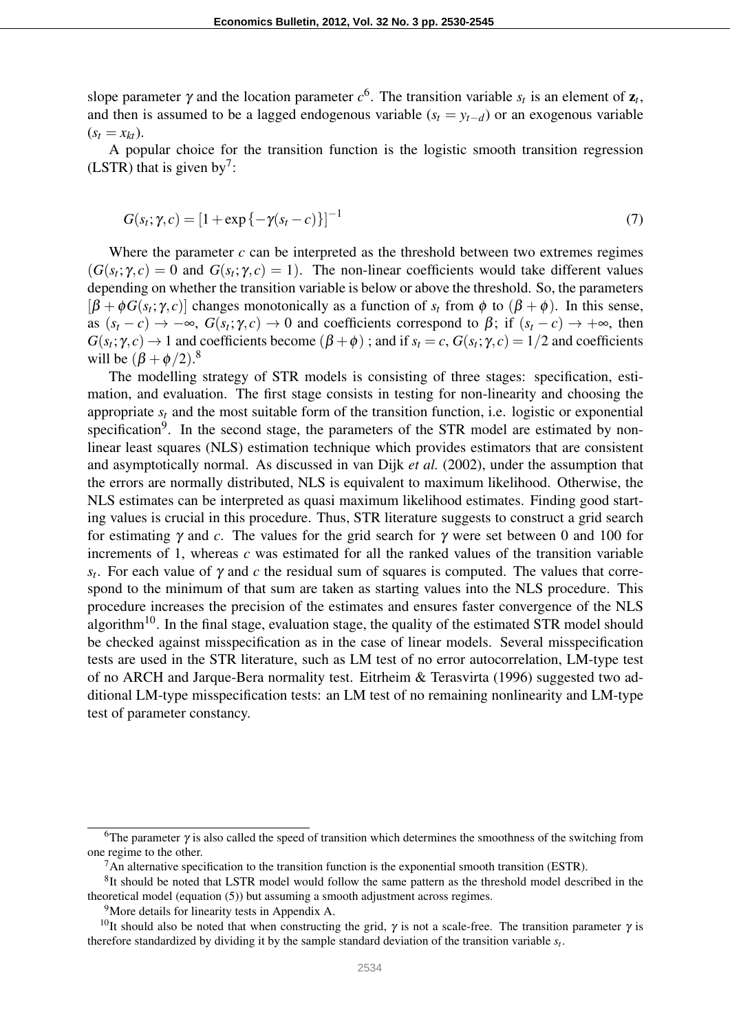slope parameter  $\gamma$  and the location parameter  $c^6$ . The transition variable  $s_t$  is an element of  $z_t$ , and then is assumed to be a lagged endogenous variable  $(s_t = y_{t-d})$  or an exogenous variable  $(s_t = x_{kt})$ .

A popular choice for the transition function is the logistic smooth transition regression (LSTR) that is given by<sup>7</sup>:

$$
G(s_t; \gamma, c) = [1 + \exp\{-\gamma(s_t - c)\}]^{-1}
$$
\n(7)

Where the parameter *c* can be interpreted as the threshold between two extremes regimes  $(G(s_t; \gamma, c) = 0$  and  $G(s_t; \gamma, c) = 1)$ . The non-linear coefficients would take different values depending on whether the transition variable is below or above the threshold. So, the parameters  $[\beta + \phi G(s_t; \gamma, c)]$  changes monotonically as a function of  $s_t$  from  $\phi$  to  $(\beta + \phi)$ . In this sense, as  $(s_t - c) \to -\infty$ ,  $G(s_t; \gamma, c) \to 0$  and coefficients correspond to  $\beta$ ; if  $(s_t - c) \to +\infty$ , then  $G(s_t; \gamma, c) \to 1$  and coefficients become  $(\beta + \phi)$ ; and if  $s_t = c$ ,  $G(s_t; \gamma, c) = 1/2$  and coefficients will be  $(\beta + \phi/2)^8$ .

The modelling strategy of STR models is consisting of three stages: specification, estimation, and evaluation. The first stage consists in testing for non-linearity and choosing the appropriate  $s_t$  and the most suitable form of the transition function, i.e. logistic or exponential specification<sup>9</sup>. In the second stage, the parameters of the STR model are estimated by nonlinear least squares (NLS) estimation technique which provides estimators that are consistent and asymptotically normal. As discussed in van Dijk *et al.* (2002), under the assumption that the errors are normally distributed, NLS is equivalent to maximum likelihood. Otherwise, the NLS estimates can be interpreted as quasi maximum likelihood estimates. Finding good starting values is crucial in this procedure. Thus, STR literature suggests to construct a grid search for estimating  $\gamma$  and *c*. The values for the grid search for  $\gamma$  were set between 0 and 100 for increments of 1, whereas *c* was estimated for all the ranked values of the transition variable  $s_t$ . For each value of  $\gamma$  and  $c$  the residual sum of squares is computed. The values that correspond to the minimum of that sum are taken as starting values into the NLS procedure. This procedure increases the precision of the estimates and ensures faster convergence of the NLS algorithm<sup>10</sup>. In the final stage, evaluation stage, the quality of the estimated STR model should be checked against misspecification as in the case of linear models. Several misspecification tests are used in the STR literature, such as LM test of no error autocorrelation, LM-type test of no ARCH and Jarque-Bera normality test. Eitrheim & Terasvirta (1996) suggested two additional LM-type misspecification tests: an LM test of no remaining nonlinearity and LM-type test of parameter constancy.

<sup>&</sup>lt;sup>6</sup>The parameter  $\gamma$  is also called the speed of transition which determines the smoothness of the switching from one regime to the other.

 $<sup>7</sup>$ An alternative specification to the transition function is the exponential smooth transition (ESTR).</sup>

<sup>&</sup>lt;sup>8</sup>It should be noted that LSTR model would follow the same pattern as the threshold model described in the theoretical model (equation (5)) but assuming a smooth adjustment across regimes.

<sup>9</sup>More details for linearity tests in Appendix A.

<sup>&</sup>lt;sup>10</sup>It should also be noted that when constructing the grid,  $\gamma$  is not a scale-free. The transition parameter  $\gamma$  is therefore standardized by dividing it by the sample standard deviation of the transition variable *s<sup>t</sup>* .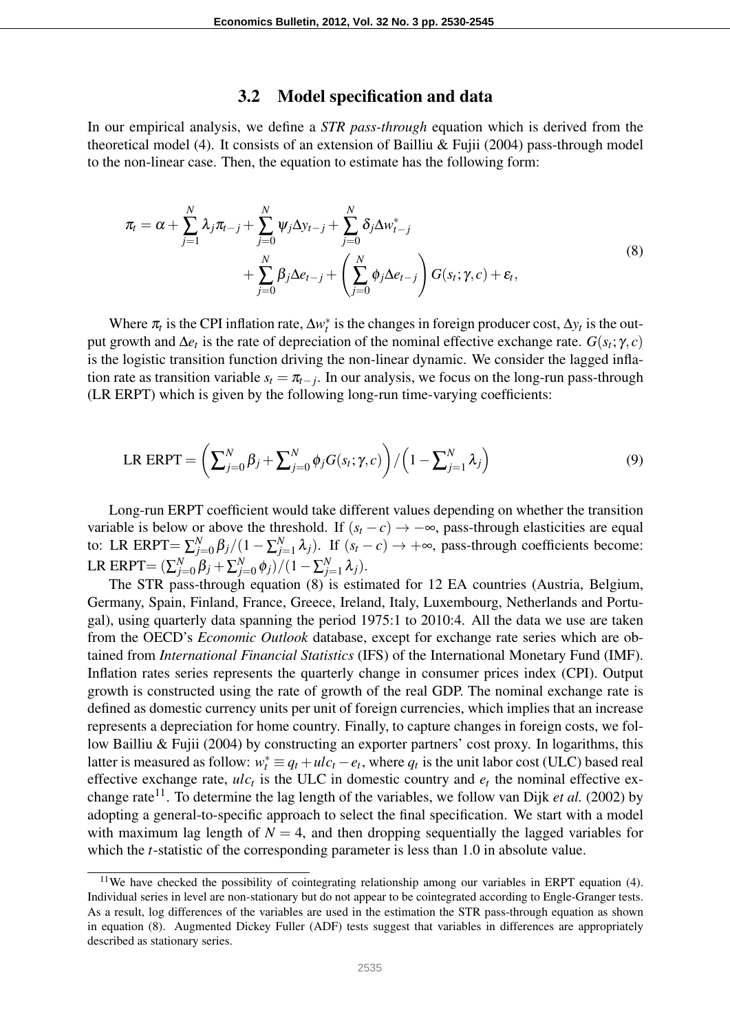#### 3.2 Model specification and data

In our empirical analysis, we define a *STR pass-through* equation which is derived from the theoretical model (4). It consists of an extension of Bailliu & Fujii (2004) pass-through model to the non-linear case. Then, the equation to estimate has the following form:

$$
\pi_t = \alpha + \sum_{j=1}^N \lambda_j \pi_{t-j} + \sum_{j=0}^N \psi_j \Delta y_{t-j} + \sum_{j=0}^N \delta_j \Delta w_{t-j}^*
$$
\n
$$
+ \sum_{j=0}^N \beta_j \Delta e_{t-j} + \left( \sum_{j=0}^N \phi_j \Delta e_{t-j} \right) G(s_t; \gamma, c) + \varepsilon_t,
$$
\n(8)

Where  $\pi_t$  is the CPI inflation rate,  $\Delta w_t^*$  is the changes in foreign producer cost,  $\Delta y_t$  is the output growth and  $\Delta e_t$  is the rate of depreciation of the nominal effective exchange rate.  $G(s_t; \gamma, c)$ is the logistic transition function driving the non-linear dynamic. We consider the lagged inflation rate as transition variable  $s_t = \pi_{t-j}$ . In our analysis, we focus on the long-run pass-through (LR ERPT) which is given by the following long-run time-varying coefficients:

LR ERPT = 
$$
\left(\sum_{j=0}^{N} \beta_j + \sum_{j=0}^{N} \phi_j G(s_t; \gamma, c)\right) / \left(1 - \sum_{j=1}^{N} \lambda_j\right)
$$
 (9)

Long-run ERPT coefficient would take different values depending on whether the transition variable is below or above the threshold. If  $(s_t - c) \rightarrow -\infty$ , pass-through elasticities are equal to: LR ERPT= $\sum_{j=1}^{N}$ *j*=0 β*j*/(1 − ∑ *N*  $\sum_{j=1}^{N} \lambda_j$ ). If  $(s_t - c) \rightarrow +\infty$ , pass-through coefficients become: LR ERPT $=(\sum_{j=1}^{N}P_{ij})^T$  $\beta_{j=0}^N \beta_j + \sum_{j=0}^N$ *j*=0 φ*j*)/(1−∑ *N*  $_{j=1}^{N}$   $\lambda_{j}$ ).

The STR pass-through equation (8) is estimated for 12 EA countries (Austria, Belgium, Germany, Spain, Finland, France, Greece, Ireland, Italy, Luxembourg, Netherlands and Portugal), using quarterly data spanning the period 1975:1 to 2010:4. All the data we use are taken from the OECD's *Economic Outlook* database, except for exchange rate series which are obtained from *International Financial Statistics* (IFS) of the International Monetary Fund (IMF). Inflation rates series represents the quarterly change in consumer prices index (CPI). Output growth is constructed using the rate of growth of the real GDP. The nominal exchange rate is defined as domestic currency units per unit of foreign currencies, which implies that an increase represents a depreciation for home country. Finally, to capture changes in foreign costs, we follow Bailliu & Fujii (2004) by constructing an exporter partners' cost proxy. In logarithms, this latter is measured as follow:  $w_t^* \equiv q_t + u c_t - e_t$ , where  $q_t$  is the unit labor cost (ULC) based real effective exchange rate,  $ulc_t$  is the ULC in domestic country and  $e_t$  the nominal effective exchange rate<sup>11</sup>. To determine the lag length of the variables, we follow van Dijk *et al.* (2002) by adopting a general-to-specific approach to select the final specification. We start with a model with maximum lag length of  $N = 4$ , and then dropping sequentially the lagged variables for which the *t*-statistic of the corresponding parameter is less than 1.0 in absolute value.

<sup>&</sup>lt;sup>11</sup>We have checked the possibility of cointegrating relationship among our variables in ERPT equation (4). Individual series in level are non-stationary but do not appear to be cointegrated according to Engle-Granger tests. As a result, log differences of the variables are used in the estimation the STR pass-through equation as shown in equation (8). Augmented Dickey Fuller (ADF) tests suggest that variables in differences are appropriately described as stationary series.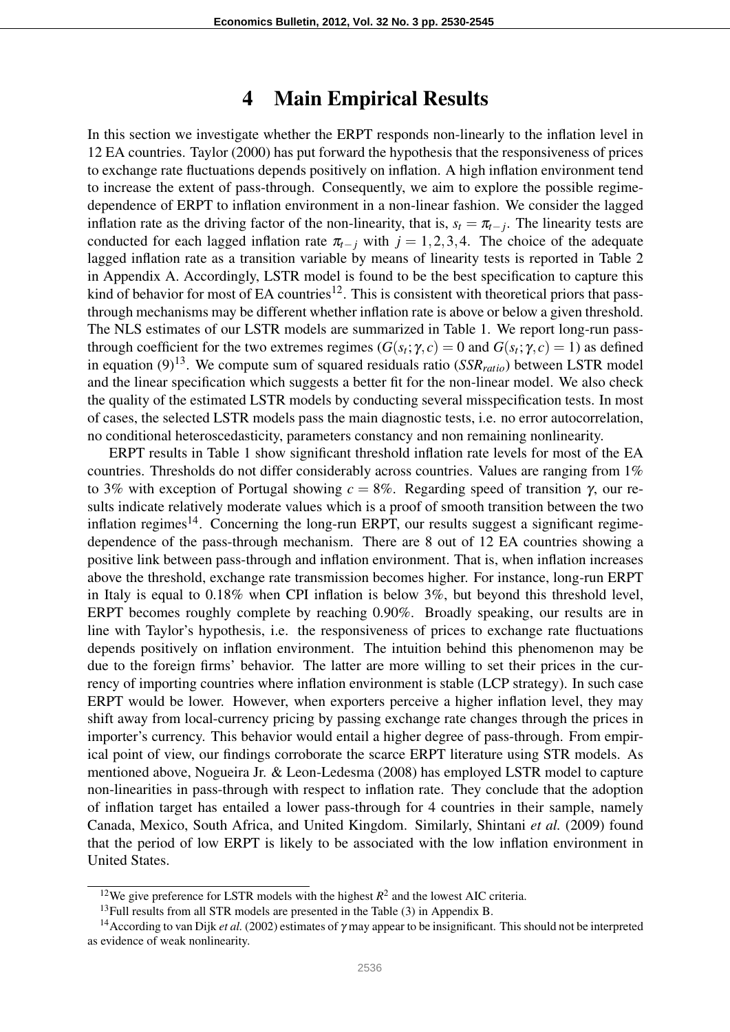#### 4 Main Empirical Results

In this section we investigate whether the ERPT responds non-linearly to the inflation level in 12 EA countries. Taylor (2000) has put forward the hypothesis that the responsiveness of prices to exchange rate fluctuations depends positively on inflation. A high inflation environment tend to increase the extent of pass-through. Consequently, we aim to explore the possible regimedependence of ERPT to inflation environment in a non-linear fashion. We consider the lagged inflation rate as the driving factor of the non-linearity, that is,  $s_t = \pi_{t-j}$ . The linearity tests are conducted for each lagged inflation rate  $\pi_{t-j}$  with  $j = 1, 2, 3, 4$ . The choice of the adequate lagged inflation rate as a transition variable by means of linearity tests is reported in Table 2 in Appendix A. Accordingly, LSTR model is found to be the best specification to capture this kind of behavior for most of EA countries<sup>12</sup>. This is consistent with theoretical priors that passthrough mechanisms may be different whether inflation rate is above or below a given threshold. The NLS estimates of our LSTR models are summarized in Table 1. We report long-run passthrough coefficient for the two extremes regimes ( $G(s_t; \gamma, c) = 0$  and  $G(s_t; \gamma, c) = 1$ ) as defined in equation (9)13. We compute sum of squared residuals ratio (*SSRratio*) between LSTR model and the linear specification which suggests a better fit for the non-linear model. We also check the quality of the estimated LSTR models by conducting several misspecification tests. In most of cases, the selected LSTR models pass the main diagnostic tests, i.e. no error autocorrelation, no conditional heteroscedasticity, parameters constancy and non remaining nonlinearity.

ERPT results in Table 1 show significant threshold inflation rate levels for most of the EA countries. Thresholds do not differ considerably across countries. Values are ranging from 1% to 3% with exception of Portugal showing *c* = 8%. Regarding speed of transition γ, our results indicate relatively moderate values which is a proof of smooth transition between the two inflation regimes $14$ . Concerning the long-run ERPT, our results suggest a significant regimedependence of the pass-through mechanism. There are 8 out of 12 EA countries showing a positive link between pass-through and inflation environment. That is, when inflation increases above the threshold, exchange rate transmission becomes higher. For instance, long-run ERPT in Italy is equal to 0.18% when CPI inflation is below 3%, but beyond this threshold level, ERPT becomes roughly complete by reaching 0.90%. Broadly speaking, our results are in line with Taylor's hypothesis, i.e. the responsiveness of prices to exchange rate fluctuations depends positively on inflation environment. The intuition behind this phenomenon may be due to the foreign firms' behavior. The latter are more willing to set their prices in the currency of importing countries where inflation environment is stable (LCP strategy). In such case ERPT would be lower. However, when exporters perceive a higher inflation level, they may shift away from local-currency pricing by passing exchange rate changes through the prices in importer's currency. This behavior would entail a higher degree of pass-through. From empirical point of view, our findings corroborate the scarce ERPT literature using STR models. As mentioned above, Nogueira Jr. & Leon-Ledesma (2008) has employed LSTR model to capture non-linearities in pass-through with respect to inflation rate. They conclude that the adoption of inflation target has entailed a lower pass-through for 4 countries in their sample, namely Canada, Mexico, South Africa, and United Kingdom. Similarly, Shintani *et al.* (2009) found that the period of low ERPT is likely to be associated with the low inflation environment in United States.

<sup>&</sup>lt;sup>12</sup>We give preference for LSTR models with the highest  $R^2$  and the lowest AIC criteria.

<sup>&</sup>lt;sup>13</sup>Full results from all STR models are presented in the Table (3) in Appendix B.

<sup>&</sup>lt;sup>14</sup> According to van Dijk *et al.* (2002) estimates of  $\gamma$  may appear to be insignificant. This should not be interpreted as evidence of weak nonlinearity.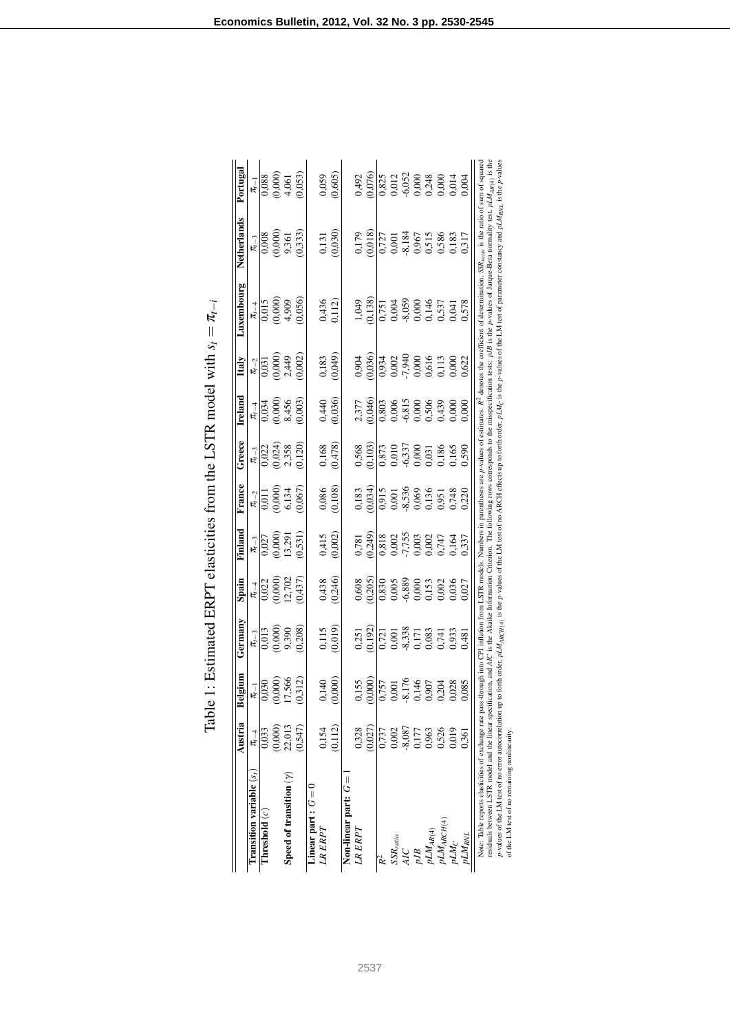| $\frac{1}{2}$ $\frac{1}{2}$ |
|-----------------------------|
| $\zeta$                     |
|                             |
|                             |
|                             |
|                             |
|                             |
|                             |
| f<br>Ec                     |
|                             |
|                             |
|                             |
|                             |
|                             |
|                             |
|                             |
|                             |
|                             |
|                             |
| $\frac{1}{2}$               |
|                             |
|                             |
|                             |
|                             |
|                             |
|                             |
|                             |
|                             |
|                             |
| $\overline{\phantom{a}}$    |
|                             |

|                                                                                                                                                                                                                                                                                                                                                                                                                                                                                                                                                                                                                                                                                                                                                                              | Austria    | Belgium                                   | Germany                                                                   | Spain                                                                                                                                                                                                                                                                                               | Finland                                                                                                                        | France                                                                                                   | Greece                                                                                                                                                                                                                                                                                              | Ireland                                                                                                                                                                                                                                                                                             | Italy                                                                                           | Luxembourg                                                         | Netherlands                                                                                                                           | Portugal                                                                                                                                                                                                                                                                                            |
|------------------------------------------------------------------------------------------------------------------------------------------------------------------------------------------------------------------------------------------------------------------------------------------------------------------------------------------------------------------------------------------------------------------------------------------------------------------------------------------------------------------------------------------------------------------------------------------------------------------------------------------------------------------------------------------------------------------------------------------------------------------------------|------------|-------------------------------------------|---------------------------------------------------------------------------|-----------------------------------------------------------------------------------------------------------------------------------------------------------------------------------------------------------------------------------------------------------------------------------------------------|--------------------------------------------------------------------------------------------------------------------------------|----------------------------------------------------------------------------------------------------------|-----------------------------------------------------------------------------------------------------------------------------------------------------------------------------------------------------------------------------------------------------------------------------------------------------|-----------------------------------------------------------------------------------------------------------------------------------------------------------------------------------------------------------------------------------------------------------------------------------------------------|-------------------------------------------------------------------------------------------------|--------------------------------------------------------------------|---------------------------------------------------------------------------------------------------------------------------------------|-----------------------------------------------------------------------------------------------------------------------------------------------------------------------------------------------------------------------------------------------------------------------------------------------------|
| Transition variable $(si$                                                                                                                                                                                                                                                                                                                                                                                                                                                                                                                                                                                                                                                                                                                                                    | $\pi_{-4}$ | $\pi_{-1}$                                | $\frac{\pi_{t-3}}{2}$                                                     |                                                                                                                                                                                                                                                                                                     |                                                                                                                                | $\frac{\pi-2}{2}$                                                                                        |                                                                                                                                                                                                                                                                                                     |                                                                                                                                                                                                                                                                                                     |                                                                                                 |                                                                    |                                                                                                                                       |                                                                                                                                                                                                                                                                                                     |
| Threshold $(c)$                                                                                                                                                                                                                                                                                                                                                                                                                                                                                                                                                                                                                                                                                                                                                              | 0,033      |                                           |                                                                           |                                                                                                                                                                                                                                                                                                     |                                                                                                                                |                                                                                                          |                                                                                                                                                                                                                                                                                                     |                                                                                                                                                                                                                                                                                                     |                                                                                                 |                                                                    |                                                                                                                                       |                                                                                                                                                                                                                                                                                                     |
|                                                                                                                                                                                                                                                                                                                                                                                                                                                                                                                                                                                                                                                                                                                                                                              | (0,000)    | (0.000)                                   | 0,013<br>0,000)<br>9,390<br>0,208)                                        |                                                                                                                                                                                                                                                                                                     |                                                                                                                                |                                                                                                          |                                                                                                                                                                                                                                                                                                     |                                                                                                                                                                                                                                                                                                     |                                                                                                 |                                                                    | $\frac{\pi_{-3}}{0,008}$<br>0,000)<br>9,351<br>9,333)                                                                                 |                                                                                                                                                                                                                                                                                                     |
| Speed of transition $(\gamma)$                                                                                                                                                                                                                                                                                                                                                                                                                                                                                                                                                                                                                                                                                                                                               | 22,013     | 17,566                                    |                                                                           |                                                                                                                                                                                                                                                                                                     |                                                                                                                                |                                                                                                          |                                                                                                                                                                                                                                                                                                     |                                                                                                                                                                                                                                                                                                     |                                                                                                 |                                                                    |                                                                                                                                       |                                                                                                                                                                                                                                                                                                     |
|                                                                                                                                                                                                                                                                                                                                                                                                                                                                                                                                                                                                                                                                                                                                                                              | (0,547)    | (0,312)                                   |                                                                           | $\frac{\pi_{1-4}}{0.022}$<br>0.000)<br>0.702<br>0.437)                                                                                                                                                                                                                                              | $\frac{\pi_{t-3}}{0,027}$<br>$(0,000)$<br>$(13,291)$<br>$(0,531)$                                                              | (1900)<br>(000)<br>(000)<br>(100)<br>110'0                                                               | $\frac{\pi_{t-3}}{0.022}$<br>$0.024$<br>$0.024$<br>$0.023$<br>$0.120$                                                                                                                                                                                                                               | $\begin{array}{c}\n\pi_{t-4} \\ \hline\n0.034 \\ 0.0000 \\ 8.456 \\ 0.003\n\end{array}$                                                                                                                                                                                                             | $\frac{\pi_{-2}}{0.031}$<br>0.000)<br>0.000)<br>0.021                                           | $\frac{\pi_{1-4}}{0.015}$<br>0.000)<br>0.000)<br>0.056)            |                                                                                                                                       | $\frac{\pi_{-1}}{0.088}$<br>0.0000<br>0.0000<br>4.0053)                                                                                                                                                                                                                                             |
| Linear part : $G = 0$                                                                                                                                                                                                                                                                                                                                                                                                                                                                                                                                                                                                                                                                                                                                                        |            |                                           |                                                                           |                                                                                                                                                                                                                                                                                                     |                                                                                                                                |                                                                                                          |                                                                                                                                                                                                                                                                                                     |                                                                                                                                                                                                                                                                                                     |                                                                                                 |                                                                    |                                                                                                                                       |                                                                                                                                                                                                                                                                                                     |
| LR ERPT                                                                                                                                                                                                                                                                                                                                                                                                                                                                                                                                                                                                                                                                                                                                                                      | 0,154      | 0,140                                     |                                                                           |                                                                                                                                                                                                                                                                                                     |                                                                                                                                |                                                                                                          |                                                                                                                                                                                                                                                                                                     |                                                                                                                                                                                                                                                                                                     |                                                                                                 |                                                                    |                                                                                                                                       |                                                                                                                                                                                                                                                                                                     |
|                                                                                                                                                                                                                                                                                                                                                                                                                                                                                                                                                                                                                                                                                                                                                                              | (0, 112)   | (0,000)                                   | $\begin{array}{c} 0.115 \\ 0.019 \end{array}$                             | $0,438$<br>$(0,246)$                                                                                                                                                                                                                                                                                | $0,415$<br>$(0,002)$                                                                                                           | $\begin{array}{c} 0.086 \\ 0.108 \end{array}$                                                            | $0,168$<br>$(0,478)$                                                                                                                                                                                                                                                                                | $0,440$<br>$(0,036)$                                                                                                                                                                                                                                                                                | $(0,183)$<br>$(0,049)$                                                                          | $0,436$<br>$0,112$                                                 | $\begin{array}{c} 0.131 \\ 0.030 \end{array}$                                                                                         | $0,059$<br>$(0,605)$                                                                                                                                                                                                                                                                                |
| Non-linear part: $G =$                                                                                                                                                                                                                                                                                                                                                                                                                                                                                                                                                                                                                                                                                                                                                       |            |                                           |                                                                           |                                                                                                                                                                                                                                                                                                     |                                                                                                                                |                                                                                                          |                                                                                                                                                                                                                                                                                                     |                                                                                                                                                                                                                                                                                                     |                                                                                                 |                                                                    |                                                                                                                                       |                                                                                                                                                                                                                                                                                                     |
| LR ERPT                                                                                                                                                                                                                                                                                                                                                                                                                                                                                                                                                                                                                                                                                                                                                                      | 0,328      |                                           |                                                                           |                                                                                                                                                                                                                                                                                                     |                                                                                                                                |                                                                                                          |                                                                                                                                                                                                                                                                                                     |                                                                                                                                                                                                                                                                                                     |                                                                                                 |                                                                    |                                                                                                                                       |                                                                                                                                                                                                                                                                                                     |
|                                                                                                                                                                                                                                                                                                                                                                                                                                                                                                                                                                                                                                                                                                                                                                              | (0,027)    | $\frac{0.155}{0.000}$                     | $\frac{0.251}{0.192}$                                                     | $\begin{array}{l} 0.608 \\ 0.205 \\ 0.208 \\ 0.639 \\ 0.639 \\ 0.639 \\ 0.639 \\ 0.639 \\ 0.639 \\ 0.639 \\ 0.639 \\ 0.637 \\ 0.637 \\ 0.637 \\ 0.637 \\ 0.637 \\ 0.637 \\ 0.637 \\ 0.637 \\ 0.637 \\ 0.637 \\ 0.637 \\ 0.637 \\ 0.637 \\ 0.637 \\ 0.637 \\ 0.637 \\ 0.637 \\ 0.637 \\ 0.637 \\ 0.$ | $\begin{array}{l} 0,781 \\ 0,249 \\ 0,818 \\ 0,002 \\ 0,003 \\ 0,000 \\ 0,001 \\ 0,001 \\ 0,147 \\ 0,337 \\ 0,337 \end{array}$ | 0,183<br>$(0,034)$<br>$(0,0515)$<br>0,000<br>0,000<br>0,000<br>0,000<br>0,000<br>0,000<br>0,000<br>0,000 | $\begin{array}{l} 0.568 \\ 0.103 \\ 0.873 \\ 0.010 \\ 0.337 \\ 0.000 \\ 0.031 \\ 0.165 \\ 0.165 \\ 0.031 \\ 0.031 \\ 0.039 \\ 0.039 \\ 0.039 \\ 0.039 \\ 0.039 \\ 0.039 \\ 0.039 \\ 0.039 \\ 0.039 \\ 0.039 \\ 0.039 \\ 0.039 \\ 0.039 \\ 0.039 \\ 0.039 \\ 0.039 \\ 0.039 \\ 0.039 \\ 0.039 \\ 0.$ | $\begin{array}{l} 2,377 \\ 2,904 \\ 0,803 \\ 0,006 \\ 0,006 \\ 0,000 \\ 0,000 \\ 0,000 \\ 0,000 \\ 0,000 \\ 0,000 \\ 0,000 \\ 0,000 \\ 0,000 \\ 0,000 \\ 0,000 \\ 0,000 \\ 0,000 \\ 0,000 \\ 0,000 \\ 0,000 \\ 0,000 \\ 0,000 \\ 0,000 \\ 0,000 \\ 0,000 \\ 0,000 \\ 0,000 \\ 0,000 \\ 0,000 \\ 0,$ | $0,904$<br>$0,905$<br>$0,902$<br>$0,900$<br>$0,900$<br>$0,900$<br>$0,000$<br>$0,000$<br>$0,622$ | 1,049<br>0,138)<br>0,004<br>0,000 0 0,577<br>0,04<br>0,04<br>0,578 | $\begin{array}{c} 0,179 \\ 0,018 \end{array}$                                                                                         | $\begin{array}{l} 0.492 \\ 0.076 \\ 0.082 \\ 0.083 \\ 0.000 \\ 0.000 \\ 0.000 \\ 0.000 \\ 0.000 \\ 0.000 \\ 0.000 \\ 0.000 \\ 0.000 \\ 0.000 \\ 0.000 \\ 0.000 \\ 0.000 \\ 0.000 \\ 0.000 \\ 0.000 \\ 0.000 \\ 0.000 \\ 0.000 \\ 0.000 \\ 0.000 \\ 0.000 \\ 0.000 \\ 0.000 \\ 0.000 \\ 0.000 \\ 0.$ |
|                                                                                                                                                                                                                                                                                                                                                                                                                                                                                                                                                                                                                                                                                                                                                                              | 0,737      |                                           |                                                                           |                                                                                                                                                                                                                                                                                                     |                                                                                                                                |                                                                                                          |                                                                                                                                                                                                                                                                                                     |                                                                                                                                                                                                                                                                                                     |                                                                                                 |                                                                    |                                                                                                                                       |                                                                                                                                                                                                                                                                                                     |
| $SSR_{ratio}$                                                                                                                                                                                                                                                                                                                                                                                                                                                                                                                                                                                                                                                                                                                                                                | 0,002      |                                           |                                                                           |                                                                                                                                                                                                                                                                                                     |                                                                                                                                |                                                                                                          |                                                                                                                                                                                                                                                                                                     |                                                                                                                                                                                                                                                                                                     |                                                                                                 |                                                                    |                                                                                                                                       |                                                                                                                                                                                                                                                                                                     |
| AIC                                                                                                                                                                                                                                                                                                                                                                                                                                                                                                                                                                                                                                                                                                                                                                          | $-8,087$   |                                           |                                                                           |                                                                                                                                                                                                                                                                                                     |                                                                                                                                |                                                                                                          |                                                                                                                                                                                                                                                                                                     |                                                                                                                                                                                                                                                                                                     |                                                                                                 |                                                                    |                                                                                                                                       |                                                                                                                                                                                                                                                                                                     |
| pJB                                                                                                                                                                                                                                                                                                                                                                                                                                                                                                                                                                                                                                                                                                                                                                          | 0,177      |                                           |                                                                           |                                                                                                                                                                                                                                                                                                     |                                                                                                                                |                                                                                                          |                                                                                                                                                                                                                                                                                                     |                                                                                                                                                                                                                                                                                                     |                                                                                                 |                                                                    |                                                                                                                                       |                                                                                                                                                                                                                                                                                                     |
| $pLM_{AR(4)}$                                                                                                                                                                                                                                                                                                                                                                                                                                                                                                                                                                                                                                                                                                                                                                | 0,963      |                                           |                                                                           |                                                                                                                                                                                                                                                                                                     |                                                                                                                                |                                                                                                          |                                                                                                                                                                                                                                                                                                     |                                                                                                                                                                                                                                                                                                     |                                                                                                 |                                                                    |                                                                                                                                       |                                                                                                                                                                                                                                                                                                     |
| $pLM_{ARCH(4)}$                                                                                                                                                                                                                                                                                                                                                                                                                                                                                                                                                                                                                                                                                                                                                              | 0,526      | 0.757<br>0.001<br>0.146<br>0.907<br>0.204 | $\overline{0,721}$<br>0,001<br>0,001<br>0,003<br>0,003<br>0,0481<br>0,481 |                                                                                                                                                                                                                                                                                                     |                                                                                                                                |                                                                                                          |                                                                                                                                                                                                                                                                                                     |                                                                                                                                                                                                                                                                                                     |                                                                                                 |                                                                    | $\begin{array}{r} \n 0.727 \\  0.001 \\  0.967 \\  0.515 \\  0.515 \\  0.586 \\  0.183 \\  0.183 \\  0.183 \\  0.183 \\  \end{array}$ |                                                                                                                                                                                                                                                                                                     |
| $pLM_C$                                                                                                                                                                                                                                                                                                                                                                                                                                                                                                                                                                                                                                                                                                                                                                      | 0,019      | 0,028                                     |                                                                           |                                                                                                                                                                                                                                                                                                     |                                                                                                                                |                                                                                                          |                                                                                                                                                                                                                                                                                                     |                                                                                                                                                                                                                                                                                                     |                                                                                                 |                                                                    |                                                                                                                                       |                                                                                                                                                                                                                                                                                                     |
| pLM <sub>RNI</sub>                                                                                                                                                                                                                                                                                                                                                                                                                                                                                                                                                                                                                                                                                                                                                           | 0,361      | 0,085                                     |                                                                           |                                                                                                                                                                                                                                                                                                     |                                                                                                                                |                                                                                                          |                                                                                                                                                                                                                                                                                                     |                                                                                                                                                                                                                                                                                                     |                                                                                                 |                                                                    |                                                                                                                                       |                                                                                                                                                                                                                                                                                                     |
| esiduals between LSTR model and the linear specification, and AIC is the Akaike Information Criterion. The following rows corresponds to the misspecification rests: p.IB is the p-values of Jarque-Bera normality test, pLM <sub></sub><br>$P$ -values of the LM test of no enor autocorrelation up to forth order, $pM_{MRTH(i)}$ is the $p$ -values of the LM test of no ARCH effects up to forth order, $pM_{MCR}$ is the $p$ -values of the LM test of parameter constancy an<br>Note: Table reports elasticities of exchange rate pass-through into CPI inflation from LSTR models. Numbers in parentheses are p-values of estimates. $R^2$ denotes the coefficient of determination, SSR <sub>ettio</sub> is the ratio<br>of the LM test of no remaining nonlinearity |            |                                           |                                                                           |                                                                                                                                                                                                                                                                                                     |                                                                                                                                |                                                                                                          |                                                                                                                                                                                                                                                                                                     |                                                                                                                                                                                                                                                                                                     |                                                                                                 |                                                                    |                                                                                                                                       |                                                                                                                                                                                                                                                                                                     |
|                                                                                                                                                                                                                                                                                                                                                                                                                                                                                                                                                                                                                                                                                                                                                                              |            |                                           |                                                                           |                                                                                                                                                                                                                                                                                                     |                                                                                                                                |                                                                                                          |                                                                                                                                                                                                                                                                                                     |                                                                                                                                                                                                                                                                                                     |                                                                                                 |                                                                    |                                                                                                                                       |                                                                                                                                                                                                                                                                                                     |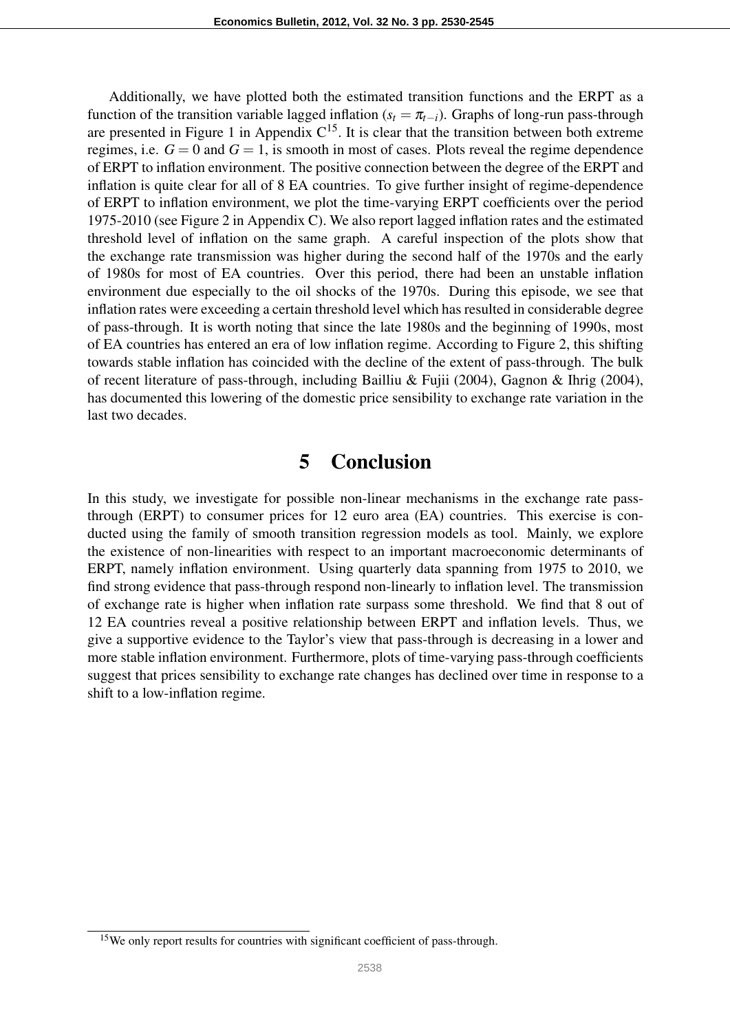Additionally, we have plotted both the estimated transition functions and the ERPT as a function of the transition variable lagged inflation ( $s_t = \pi_{t-i}$ ). Graphs of long-run pass-through are presented in Figure 1 in Appendix  $C^{15}$ . It is clear that the transition between both extreme regimes, i.e.  $G = 0$  and  $G = 1$ , is smooth in most of cases. Plots reveal the regime dependence of ERPT to inflation environment. The positive connection between the degree of the ERPT and inflation is quite clear for all of 8 EA countries. To give further insight of regime-dependence of ERPT to inflation environment, we plot the time-varying ERPT coefficients over the period 1975-2010 (see Figure 2 in Appendix C). We also report lagged inflation rates and the estimated threshold level of inflation on the same graph. A careful inspection of the plots show that the exchange rate transmission was higher during the second half of the 1970s and the early of 1980s for most of EA countries. Over this period, there had been an unstable inflation environment due especially to the oil shocks of the 1970s. During this episode, we see that inflation rates were exceeding a certain threshold level which has resulted in considerable degree of pass-through. It is worth noting that since the late 1980s and the beginning of 1990s, most of EA countries has entered an era of low inflation regime. According to Figure 2, this shifting towards stable inflation has coincided with the decline of the extent of pass-through. The bulk of recent literature of pass-through, including Bailliu & Fujii (2004), Gagnon & Ihrig (2004), has documented this lowering of the domestic price sensibility to exchange rate variation in the last two decades.

#### 5 Conclusion

In this study, we investigate for possible non-linear mechanisms in the exchange rate passthrough (ERPT) to consumer prices for 12 euro area (EA) countries. This exercise is conducted using the family of smooth transition regression models as tool. Mainly, we explore the existence of non-linearities with respect to an important macroeconomic determinants of ERPT, namely inflation environment. Using quarterly data spanning from 1975 to 2010, we find strong evidence that pass-through respond non-linearly to inflation level. The transmission of exchange rate is higher when inflation rate surpass some threshold. We find that 8 out of 12 EA countries reveal a positive relationship between ERPT and inflation levels. Thus, we give a supportive evidence to the Taylor's view that pass-through is decreasing in a lower and more stable inflation environment. Furthermore, plots of time-varying pass-through coefficients suggest that prices sensibility to exchange rate changes has declined over time in response to a shift to a low-inflation regime.

<sup>&</sup>lt;sup>15</sup>We only report results for countries with significant coefficient of pass-through.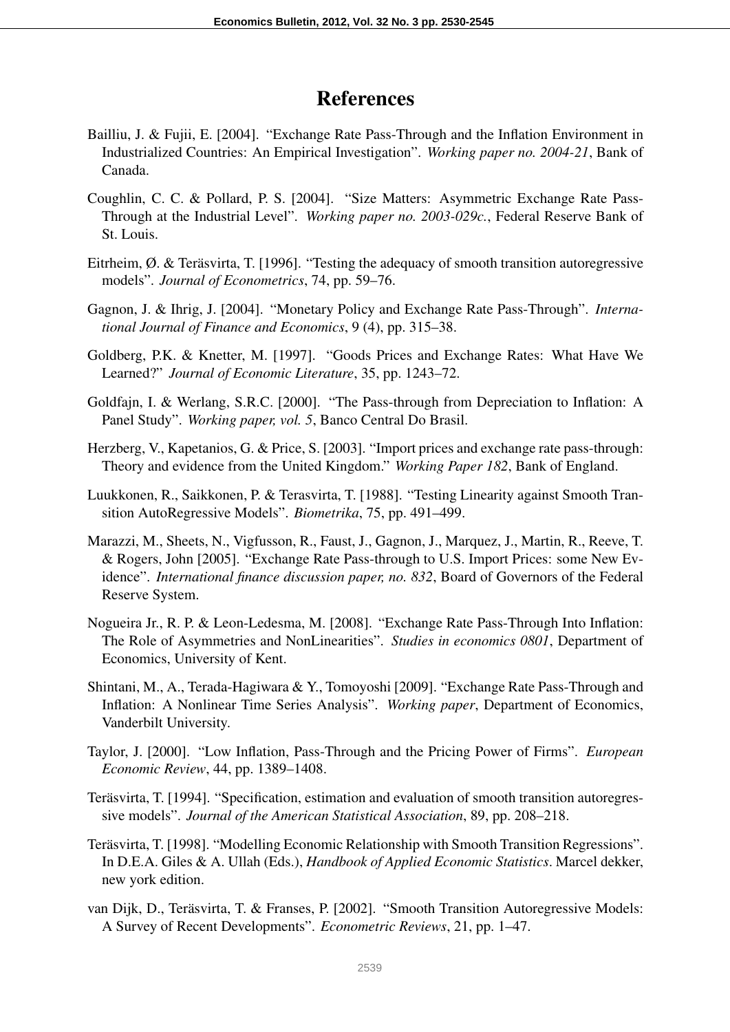## References

- Bailliu, J. & Fujii, E. [2004]. "Exchange Rate Pass-Through and the Inflation Environment in Industrialized Countries: An Empirical Investigation". *Working paper no. 2004-21*, Bank of Canada.
- Coughlin, C. C. & Pollard, P. S. [2004]. "Size Matters: Asymmetric Exchange Rate Pass-Through at the Industrial Level". *Working paper no. 2003-029c.*, Federal Reserve Bank of St. Louis.
- Eitrheim, Ø. & Teräsvirta, T. [1996]. "Testing the adequacy of smooth transition autoregressive models". *Journal of Econometrics*, 74, pp. 59–76.
- Gagnon, J. & Ihrig, J. [2004]. "Monetary Policy and Exchange Rate Pass-Through". *International Journal of Finance and Economics*, 9 (4), pp. 315–38.
- Goldberg, P.K. & Knetter, M. [1997]. "Goods Prices and Exchange Rates: What Have We Learned?" *Journal of Economic Literature*, 35, pp. 1243–72.
- Goldfajn, I. & Werlang, S.R.C. [2000]. "The Pass-through from Depreciation to Inflation: A Panel Study". *Working paper, vol. 5*, Banco Central Do Brasil.
- Herzberg, V., Kapetanios, G. & Price, S. [2003]. "Import prices and exchange rate pass-through: Theory and evidence from the United Kingdom." *Working Paper 182*, Bank of England.
- Luukkonen, R., Saikkonen, P. & Terasvirta, T. [1988]. "Testing Linearity against Smooth Transition AutoRegressive Models". *Biometrika*, 75, pp. 491–499.
- Marazzi, M., Sheets, N., Vigfusson, R., Faust, J., Gagnon, J., Marquez, J., Martin, R., Reeve, T. & Rogers, John [2005]. "Exchange Rate Pass-through to U.S. Import Prices: some New Evidence". *International finance discussion paper, no. 832*, Board of Governors of the Federal Reserve System.
- Nogueira Jr., R. P. & Leon-Ledesma, M. [2008]. "Exchange Rate Pass-Through Into Inflation: The Role of Asymmetries and NonLinearities". *Studies in economics 0801*, Department of Economics, University of Kent.
- Shintani, M., A., Terada-Hagiwara & Y., Tomoyoshi [2009]. "Exchange Rate Pass-Through and Inflation: A Nonlinear Time Series Analysis". *Working paper*, Department of Economics, Vanderbilt University.
- Taylor, J. [2000]. "Low Inflation, Pass-Through and the Pricing Power of Firms". *European Economic Review*, 44, pp. 1389–1408.
- Teräsvirta, T. [1994]. "Specification, estimation and evaluation of smooth transition autoregressive models". *Journal of the American Statistical Association*, 89, pp. 208–218.
- Teräsvirta, T. [1998]. "Modelling Economic Relationship with Smooth Transition Regressions". In D.E.A. Giles & A. Ullah (Eds.), *Handbook of Applied Economic Statistics*. Marcel dekker, new york edition.
- van Dijk, D., Teräsvirta, T. & Franses, P. [2002]. "Smooth Transition Autoregressive Models: A Survey of Recent Developments". *Econometric Reviews*, 21, pp. 1–47.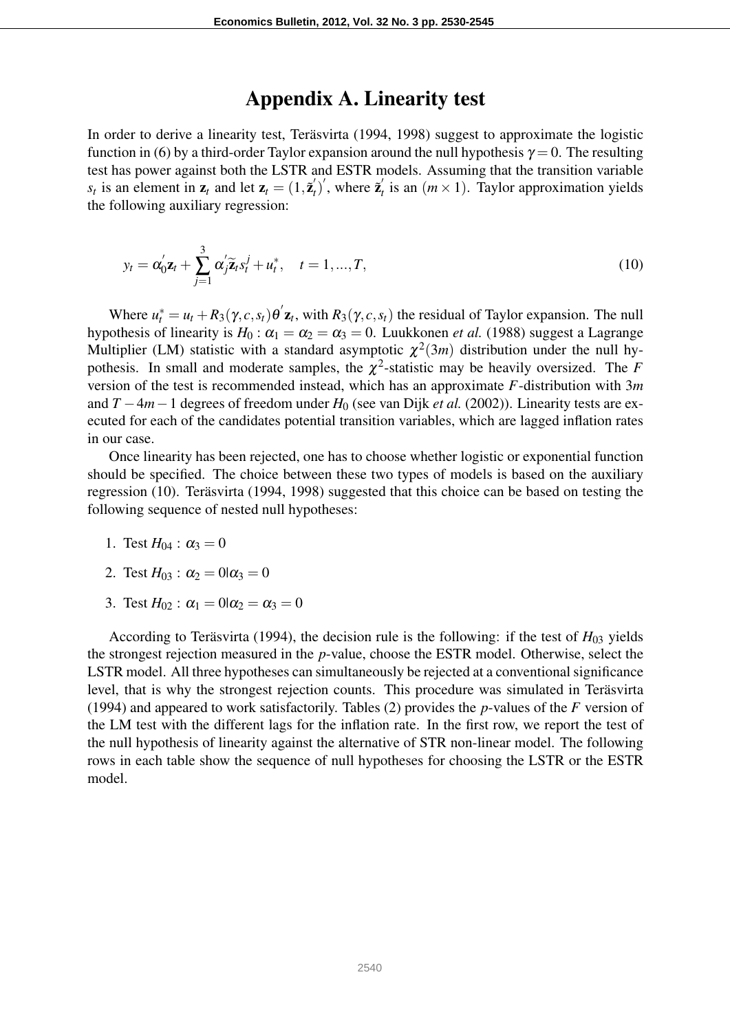#### Appendix A. Linearity test

In order to derive a linearity test, Teräsvirta (1994, 1998) suggest to approximate the logistic function in (6) by a third-order Taylor expansion around the null hypothesis  $\gamma = 0$ . The resulting test has power against both the LSTR and ESTR models. Assuming that the transition variable  $s_t$  is an element in  $z_t$  and let  $z_t = (1, \tilde{z}_t)$  $\mathbf{z}'_t$ <sup>'</sup>, where  $\mathbf{z}'_t$  $\alpha_t'$  is an  $(m \times 1)$ . Taylor approximation yields the following auxiliary regression:

$$
y_t = \alpha'_0 \mathbf{z}_t + \sum_{j=1}^3 \alpha'_j \widetilde{\mathbf{z}}_t s_t^j + u_t^*, \quad t = 1, ..., T,
$$
\n(10)

Where  $u_t^* = u_t + R_3(\gamma, c, s_t) \theta' \mathbf{z}_t$ , with  $R_3(\gamma, c, s_t)$  the residual of Taylor expansion. The null hypothesis of linearity is  $H_0$ :  $\alpha_1 = \alpha_2 = \alpha_3 = 0$ . Luukkonen *et al.* (1988) suggest a Lagrange Multiplier (LM) statistic with a standard asymptotic  $\chi^2(3m)$  distribution under the null hypothesis. In small and moderate samples, the  $\chi^2$ -statistic may be heavily oversized. The *F* version of the test is recommended instead, which has an approximate *F*-distribution with 3*m* and *T* −4*m*−1 degrees of freedom under *H*<sup>0</sup> (see van Dijk *et al.* (2002)). Linearity tests are executed for each of the candidates potential transition variables, which are lagged inflation rates in our case.

Once linearity has been rejected, one has to choose whether logistic or exponential function should be specified. The choice between these two types of models is based on the auxiliary regression (10). Teräsvirta (1994, 1998) suggested that this choice can be based on testing the following sequence of nested null hypotheses:

- 1. Test  $H_{04}$  :  $\alpha_3 = 0$
- 2. Test  $H_{03}$ :  $\alpha_2 = 0$ | $\alpha_3 = 0$
- 3. Test  $H_{02}$ :  $\alpha_1 = 0$ | $\alpha_2 = \alpha_3 = 0$

According to Teräsvirta (1994), the decision rule is the following: if the test of  $H_{03}$  yields the strongest rejection measured in the *p*-value, choose the ESTR model. Otherwise, select the LSTR model. All three hypotheses can simultaneously be rejected at a conventional significance level, that is why the strongest rejection counts. This procedure was simulated in Teräsvirta (1994) and appeared to work satisfactorily. Tables (2) provides the *p*-values of the *F* version of the LM test with the different lags for the inflation rate. In the first row, we report the test of the null hypothesis of linearity against the alternative of STR non-linear model. The following rows in each table show the sequence of null hypotheses for choosing the LSTR or the ESTR model.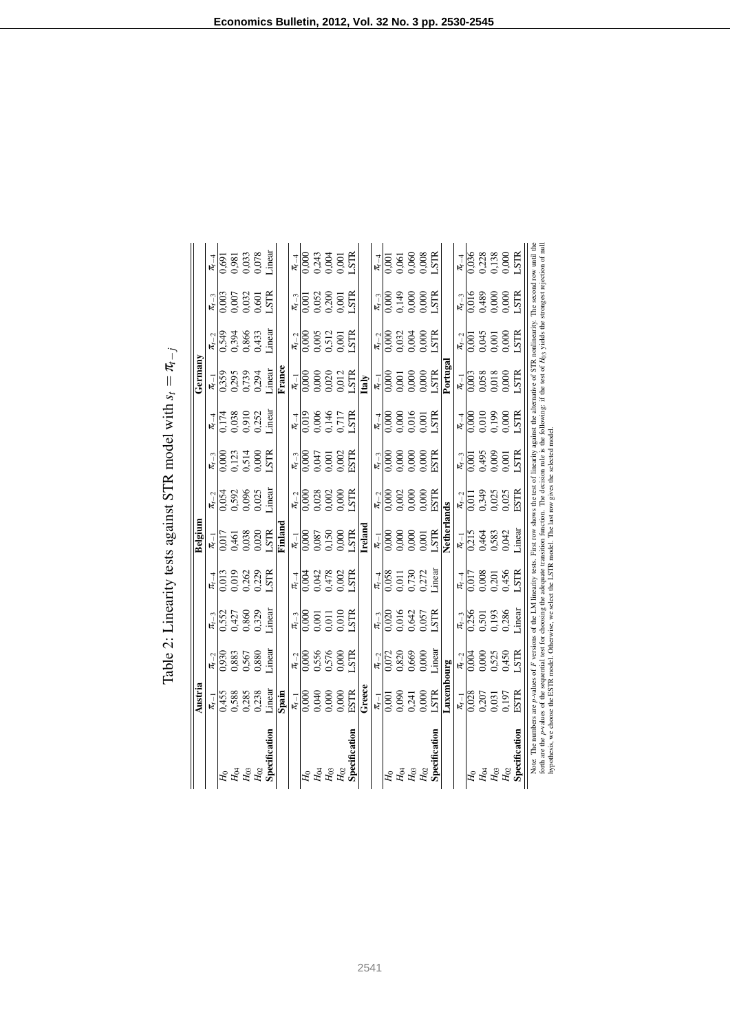|                                                   | Austria                                                        |                                                              |                                                                                                      |                                                                | Belgium                                              |                                                                |                                                              |                                                                     | Germany                                                                                   |                                                                |                                                                                         |                                                              |
|---------------------------------------------------|----------------------------------------------------------------|--------------------------------------------------------------|------------------------------------------------------------------------------------------------------|----------------------------------------------------------------|------------------------------------------------------|----------------------------------------------------------------|--------------------------------------------------------------|---------------------------------------------------------------------|-------------------------------------------------------------------------------------------|----------------------------------------------------------------|-----------------------------------------------------------------------------------------|--------------------------------------------------------------|
|                                                   |                                                                |                                                              |                                                                                                      |                                                                |                                                      |                                                                |                                                              |                                                                     |                                                                                           |                                                                |                                                                                         |                                                              |
|                                                   |                                                                |                                                              |                                                                                                      |                                                                |                                                      |                                                                |                                                              |                                                                     |                                                                                           |                                                                |                                                                                         |                                                              |
|                                                   |                                                                |                                                              |                                                                                                      |                                                                |                                                      |                                                                |                                                              |                                                                     |                                                                                           |                                                                |                                                                                         |                                                              |
| H<br>Ha<br>Hos                                    | $\frac{\pi_{t-1}}{0,455}$<br>0,588<br>0,285<br>0,238<br>Linear |                                                              | $\frac{\pi_{t-3}}{0.552}$<br>0.427<br>0.860<br>0.329<br>Linear                                       | $\frac{\pi_{e-4}}{0.013}$<br>0.019<br>0.262<br>1.STR           | $\frac{\pi_{t-1}}{0.017}$<br>0.461<br>0.938<br>0.020 |                                                                | $\frac{\pi_{t-3}}{0.000}$<br>0,123<br>0,514<br>LSTR          | $\frac{\pi_{t-4}}{0.174}$<br>0.038<br>0.910<br>0.252<br>Linear      |                                                                                           | $\frac{\pi_{t-2}}{0.549}$<br>0.394<br>0.866<br>0.433<br>Linear | $\frac{\pi_{t-3}}{0.003}$<br>0.007<br>0.032<br>0.601<br>LSTR                            |                                                              |
| $H_{02}$                                          |                                                                |                                                              |                                                                                                      |                                                                |                                                      |                                                                |                                                              |                                                                     |                                                                                           |                                                                |                                                                                         |                                                              |
| Specification                                     |                                                                | $\frac{\pi_{6-2}}{0.930}$<br>0.883<br>0.567<br>0.880         |                                                                                                      |                                                                |                                                      | $\frac{\pi_{t-2}}{0.054}$<br>0.592<br>0.006<br>0.025<br>Linear |                                                              |                                                                     | $\frac{\pi_{r-1}}{0.359}$<br>0.295<br>0.739<br>1.inear                                    |                                                                |                                                                                         | $\frac{\pi}{1000}$<br>0.981<br>0.933<br>0.033<br>1.inear     |
|                                                   | Spain                                                          |                                                              |                                                                                                      |                                                                | Finlan                                               |                                                                |                                                              |                                                                     | $\overline{\text{Frame}}$                                                                 |                                                                |                                                                                         |                                                              |
|                                                   |                                                                |                                                              |                                                                                                      |                                                                |                                                      |                                                                |                                                              |                                                                     |                                                                                           |                                                                |                                                                                         |                                                              |
|                                                   |                                                                |                                                              |                                                                                                      |                                                                |                                                      |                                                                |                                                              |                                                                     |                                                                                           |                                                                |                                                                                         |                                                              |
| H<br>Ha<br>Hos                                    | $\frac{\pi_{t-1}}{0.000}$<br>0.040<br>0.000<br>0.000<br>ESTR   | $\frac{\pi_{6-2}}{0.556}$<br>0.556<br>0.576<br>LSTR          | $\begin{array}{c}\n\pi_{t-3} \\ 0.000 \\ 0.001 \\ 0.011 \\ 0.010 \\ \text{S} \text{TR}\n\end{array}$ | $\frac{\pi_{6} - 4}{0.004}$<br>0.042<br>0.478<br>0.002         | $\frac{\pi_{t-1}}{0.000}$<br>0.087<br>0.150<br>0.000 | $\frac{\pi_{t-2}}{0.000}$<br>0.028<br>0.002<br>0.000 ESTR      | $\frac{\pi_{t-3}}{0.000}$<br>0.047<br>0.001<br>0.002<br>ESTR | $\frac{\pi_{-4}}{0.019}$<br>0.006<br>0.146<br>0.717<br>LSTR         |                                                                                           | $\frac{\pi_{t-2}}{0,000}$<br>0,005<br>0,512<br>0,001<br>LSTR   | $\frac{\pi_{t-3}}{0.001}$<br>0.052<br>0.052<br>0.001<br>LSTR                            | $\frac{\pi}{10000}$<br>0,000<br>0,000<br>0,000<br>LSTR       |
|                                                   |                                                                |                                                              |                                                                                                      |                                                                |                                                      |                                                                |                                                              |                                                                     |                                                                                           |                                                                |                                                                                         |                                                              |
| $H_{02}$                                          |                                                                |                                                              |                                                                                                      |                                                                |                                                      |                                                                |                                                              |                                                                     |                                                                                           |                                                                |                                                                                         |                                                              |
| Specification                                     |                                                                |                                                              |                                                                                                      |                                                                |                                                      |                                                                |                                                              |                                                                     | $\frac{\pi_{a-1}}{0.000}$<br>0.000<br>0.000<br>0.012<br>LSTR<br>LEaly                     |                                                                |                                                                                         |                                                              |
|                                                   | Greece                                                         |                                                              |                                                                                                      |                                                                | Irelano                                              |                                                                |                                                              |                                                                     |                                                                                           |                                                                |                                                                                         |                                                              |
|                                                   |                                                                |                                                              |                                                                                                      |                                                                |                                                      |                                                                |                                                              |                                                                     |                                                                                           |                                                                |                                                                                         |                                                              |
|                                                   |                                                                |                                                              |                                                                                                      |                                                                |                                                      |                                                                |                                                              |                                                                     |                                                                                           |                                                                |                                                                                         |                                                              |
|                                                   |                                                                |                                                              |                                                                                                      |                                                                |                                                      |                                                                |                                                              |                                                                     |                                                                                           |                                                                |                                                                                         |                                                              |
|                                                   |                                                                |                                                              |                                                                                                      |                                                                |                                                      |                                                                |                                                              |                                                                     |                                                                                           |                                                                |                                                                                         |                                                              |
| $H_0$ $H_0$ $H_0$ $H_0$                           |                                                                |                                                              | $\frac{\pi_{t-3}}{0.020}$<br>0.016<br>0.642<br>0.057<br>LSTR                                         | $\frac{\pi_{t-4}}{0,058}$<br>0,011<br>0,730<br>0,272<br>Linear |                                                      | $\frac{\pi_{t-2}}{0.000}$<br>0.002<br>0.000<br>0.000<br>ESTR   | $\frac{\pi_{t-3}}{0.000}$<br>0.000<br>0.000<br>0.000<br>ESTR | $\frac{\pi_{t-4}}{0,000}$<br>0,000<br>0,016<br>1STR                 |                                                                                           | $\frac{\pi_{t-2}}{0.000}$<br>0.032<br>0.004<br>0.000           | $\begin{array}{c} \pi_{r-3} \\ \hline 0,000 \\ 0,149 \\ 0,000 \\ \text{C.} \end{array}$ | $\frac{\pi_{t-1}}{0.001}$<br>0.060<br>0.060<br>0.008         |
| Specification                                     | $\frac{\pi_{t-1}}{0,001}$<br>0,000<br>0,241<br>0,000<br>LSTR   | $\frac{\pi_{t-2}}{0.072}$<br>0.820<br>0.669<br>0.000         |                                                                                                      |                                                                | $\frac{\pi_{t-1}}{0.000}$<br>0.000<br>0.000<br>0.000 |                                                                |                                                              |                                                                     | $\frac{\pi_{t-1}}{0.000}$<br>0.000<br>0.000<br>0.000                                      |                                                                |                                                                                         |                                                              |
|                                                   | Luxembourg                                                     |                                                              |                                                                                                      |                                                                | Netherl:                                             | ands                                                           |                                                              |                                                                     | Portuga                                                                                   |                                                                |                                                                                         |                                                              |
|                                                   |                                                                |                                                              |                                                                                                      | $\frac{\pi_{t-4}}{2}$                                          |                                                      |                                                                |                                                              |                                                                     |                                                                                           |                                                                |                                                                                         |                                                              |
|                                                   | $\frac{\pi_{t-1}}{0,028}$<br>0,0207<br>0,031<br>0,197<br>ESTR  | $\frac{\pi_{6-2}}{0.004}$<br>0.000<br>0.525<br>0.450<br>LSTR | $\frac{\pi_{t-3}}{0,256}$<br>0,501<br>0,501<br>0,286<br>Linear                                       | 0,017<br>0,008<br>0,201<br>0,456<br>LSTR                       | $\frac{\pi_{6-1}}{0,215}$<br>0,464<br>0,583<br>0,042 | $\frac{\pi_{t-2}}{0.349}$<br>0.349<br>0.025<br>ESTR            | $\frac{\pi_{t-3}}{0,001}$<br>0,495<br>0,000<br>0,001<br>LSTR | $\frac{\pi_{\text{r}-4}}{0.000}$<br>0.010<br>0.019<br>0.000<br>LSTR | $\begin{array}{c} \pi_{t-1} \\ \hline 0,003 \\ 0,003 \\ 0,018 \\ \text{LSTR} \end{array}$ | $\frac{\pi_{t-2}}{0.001}$<br>0.045<br>0.000<br>0.000<br>LSTR   | $\frac{\pi_{t-3}}{0.016}$<br>0.489<br>0.000<br>0.000                                    | $\frac{\pi_{6-4}}{0,036}$<br>0,038<br>0,138<br>0,000<br>LSTR |
| $H_{04}$<br>$H_{03}$<br>$H_{02}$<br>Specification |                                                                |                                                              |                                                                                                      |                                                                |                                                      |                                                                |                                                              |                                                                     |                                                                                           |                                                                |                                                                                         |                                                              |
|                                                   |                                                                |                                                              |                                                                                                      |                                                                |                                                      |                                                                |                                                              |                                                                     |                                                                                           |                                                                |                                                                                         |                                                              |
|                                                   |                                                                |                                                              |                                                                                                      |                                                                |                                                      |                                                                |                                                              |                                                                     |                                                                                           |                                                                |                                                                                         |                                                              |
|                                                   |                                                                |                                                              |                                                                                                      |                                                                |                                                      |                                                                |                                                              |                                                                     |                                                                                           |                                                                |                                                                                         |                                                              |

π*t*−*j* Table 2: Linearity tests against STR model with  $s =$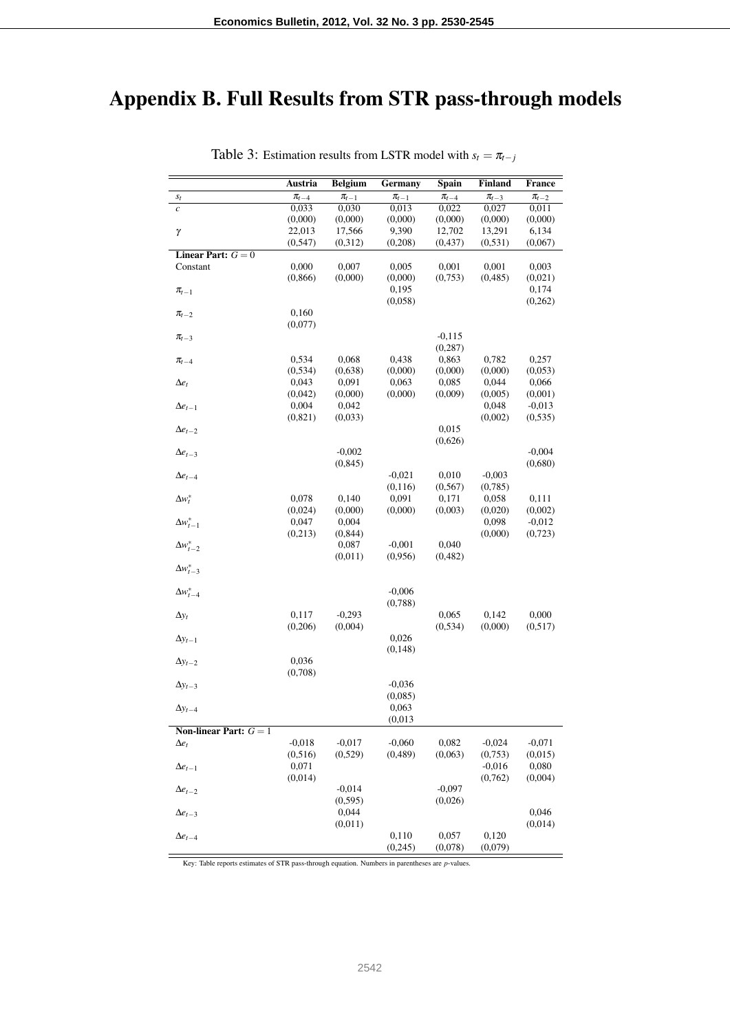# Appendix B. Full Results from STR pass-through models

|                                 | Austria          | <b>Belgium</b>   | Germany     | Spain       | Finland          | <b>France</b>       |
|---------------------------------|------------------|------------------|-------------|-------------|------------------|---------------------|
| $s_t$                           | $\pi_{t-4}$      | $\pi_{t-1}$      | $\pi_{t-1}$ | $\pi_{t-4}$ | $\pi_{t-3}$      | $\pi_{t-2}$         |
| $\mathcal{C}_{0}$               | 0,033            | 0,030            | 0,013       | 0,022       | 0,027            | 0,011               |
|                                 | (0,000)          | (0,000)          | (0,000)     | (0,000)     | (0,000)          | (0,000)             |
| γ                               | 22,013           | 17,566           | 9,390       | 12,702      | 13,291           | 6,134               |
|                                 | (0, 547)         | (0,312)          | (0,208)     | (0, 437)    | (0, 531)         | (0,067)             |
| Linear Part: $G = 0$            |                  |                  |             |             |                  |                     |
| Constant                        | 0,000            | 0,007            | 0,005       | 0,001       | 0,001            | 0,003               |
|                                 | (0, 866)         | (0,000)          | (0,000)     | (0,753)     | (0, 485)         | (0,021)             |
| $\pi_{t-1}$                     |                  |                  | 0,195       |             |                  | 0,174               |
|                                 |                  |                  | (0,058)     |             |                  | (0,262)             |
| $\pi_{t-2}$                     | 0,160            |                  |             |             |                  |                     |
|                                 | (0,077)          |                  |             |             |                  |                     |
| $\pi_{t-3}$                     |                  |                  |             | $-0,115$    |                  |                     |
|                                 |                  |                  |             | (0, 287)    |                  |                     |
| $\pi_{t-4}$                     | 0,534            | 0,068            | 0,438       | 0,863       | 0,782            | 0,257               |
|                                 | (0, 534)         | (0,638)          | (0,000)     | (0,000)     | (0,000)          | (0,053)             |
| $\Delta e_t$                    | 0,043            | 0,091            | 0,063       | 0,085       | 0,044            | 0,066               |
|                                 | (0,042)<br>0,004 | (0,000)<br>0,042 | (0,000)     | (0,009)     | (0,005)<br>0,048 | (0,001)<br>$-0,013$ |
| $\Delta e_{t-1}$                | (0,821)          | (0,033)          |             |             | (0,002)          | (0, 535)            |
|                                 |                  |                  |             | 0,015       |                  |                     |
| $\Delta e_{t-2}$                |                  |                  |             | (0,626)     |                  |                     |
| $\Delta e_{t-3}$                |                  | $-0,002$         |             |             |                  | $-0,004$            |
|                                 |                  | (0, 845)         |             |             |                  | (0,680)             |
| $\Delta e_{t-4}$                |                  |                  | $-0,021$    | 0,010       | $-0,003$         |                     |
|                                 |                  |                  | (0,116)     | (0, 567)    | (0,785)          |                     |
| $\Delta w_t^*$                  | 0,078            | 0,140            | 0,091       | 0,171       | 0,058            | 0,111               |
|                                 | (0,024)          | (0,000)          | (0,000)     | (0,003)     | (0,020)          | (0,002)             |
| $\Delta w_{t-1}^*$              | 0,047            | 0,004            |             |             | 0,098            | $-0,012$            |
|                                 | (0,213)          | (0, 844)         |             |             | (0,000)          | (0,723)             |
| $\Delta w_{t-2}^*$              |                  | 0,087            | $-0,001$    | 0,040       |                  |                     |
|                                 |                  | (0,011)          | (0,956)     | (0, 482)    |                  |                     |
| $\Delta w_{t-3}^*$              |                  |                  |             |             |                  |                     |
|                                 |                  |                  |             |             |                  |                     |
| $\Delta w_{t-4}^*$              |                  |                  | $-0,006$    |             |                  |                     |
|                                 |                  |                  | (0,788)     |             |                  |                     |
| $\Delta y_t$                    | 0,117            | $-0,293$         |             | 0,065       | 0,142            | 0,000               |
|                                 | (0,206)          | (0,004)          |             | (0, 534)    | (0,000)          | (0,517)             |
| $\Delta y_{t-1}$                |                  |                  | 0,026       |             |                  |                     |
|                                 |                  |                  | (0, 148)    |             |                  |                     |
| $\Delta y_{t-2}$                | 0,036            |                  |             |             |                  |                     |
|                                 | (0,708)          |                  |             |             |                  |                     |
| $\Delta y_{t-3}$                |                  |                  | $-0.036$    |             |                  |                     |
|                                 |                  |                  | (0,085)     |             |                  |                     |
| $\Delta y_{t-4}$                |                  |                  | 0,063       |             |                  |                     |
|                                 |                  |                  | (0,013)     |             |                  |                     |
| <b>Non-linear Part:</b> $G = 1$ |                  |                  |             |             |                  |                     |
| $\Delta e_t$                    | $-0,018$         | $-0,017$         | $-0,060$    | 0,082       | $-0,024$         | $-0.071$            |
|                                 | (0,516)          | (0,529)          | (0,489)     | (0,063)     | (0,753)          | (0,015)             |
| $\Delta e_{t-1}$                | 0,071            |                  |             |             | $-0,016$         | 0,080               |
|                                 | (0,014)          |                  |             |             | (0,762)          | (0,004)             |
| $\Delta e_{t-2}$                |                  | $-0,014$         |             | $-0,097$    |                  |                     |
|                                 |                  | (0, 595)         |             | (0,026)     |                  |                     |
| $\Delta e_{t-3}$                |                  | 0,044            |             |             |                  | 0,046               |
|                                 |                  | (0,011)          |             |             |                  | (0,014)             |
| $\Delta e_{t-4}$                |                  |                  | 0,110       | 0,057       | 0,120            |                     |
|                                 |                  |                  | (0, 245)    | (0,078)     | (0,079)          |                     |

Table 3: Estimation results from LSTR model with  $s_t = \pi_{t-j}$ 

Key: Table reports estimates of STR pass-through equation. Numbers in parentheses are *p*-values.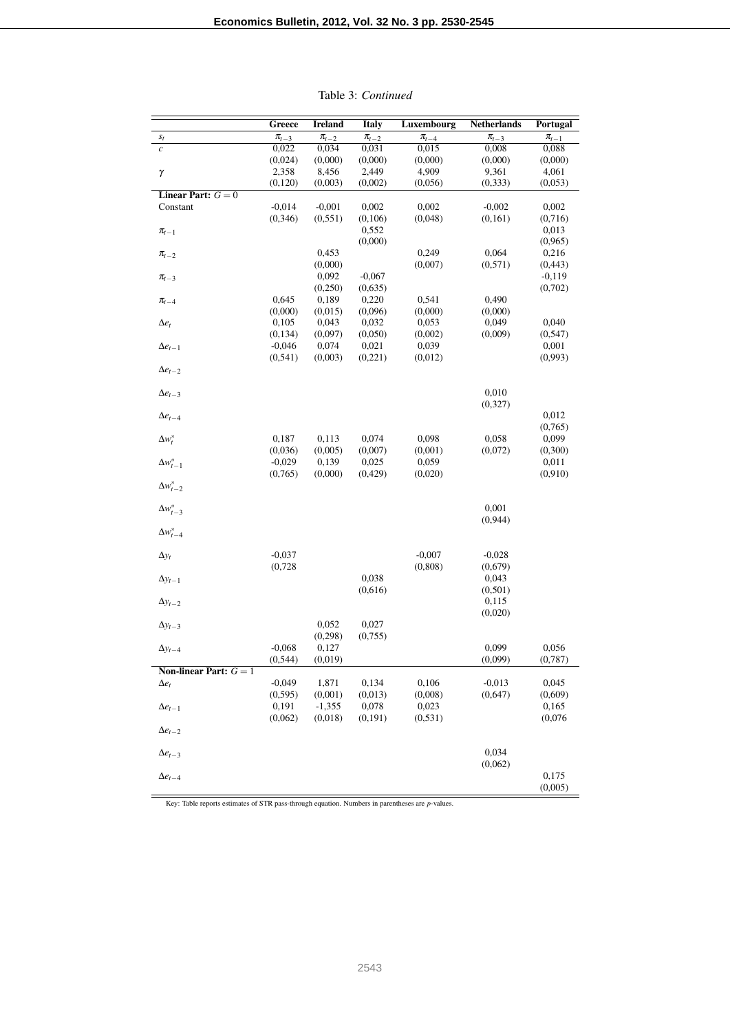|                          | Greece      | <b>Ireland</b> | <b>Italy</b>     | Luxembourg  | <b>Netherlands</b> | Portugal         |
|--------------------------|-------------|----------------|------------------|-------------|--------------------|------------------|
| $S_t$                    | $\pi_{t-3}$ | $\pi_{t-2}$    | $\pi_{t-2}$      | $\pi_{t-4}$ | $\pi_{t-3}$        | $\pi_{t-1}$      |
| $\boldsymbol{c}$         | 0,022       | 0,034          | 0,031            | 0,015       | 0,008              | 0,088            |
|                          | (0,024)     | (0,000)        | (0,000)          | (0,000)     | (0,000)            | (0,000)          |
| γ                        | 2,358       | 8,456          | 2,449            | 4,909       | 9,361              | 4,061            |
|                          | (0, 120)    | (0,003)        | (0,002)          | (0,056)     | (0, 333)           | (0,053)          |
| Linear Part: $G = 0$     |             |                |                  |             |                    |                  |
| Constant                 | $-0,014$    | $-0,001$       | 0,002            | 0,002       | $-0,002$           | 0,002            |
|                          | (0, 346)    | (0, 551)       | (0,106)<br>0,552 | (0,048)     | (0, 161)           | (0,716)<br>0,013 |
| $\pi_{t-1}$              |             |                | (0,000)          |             |                    | (0, 965)         |
| $\pi_{t-2}$              |             | 0,453          |                  | 0,249       | 0,064              | 0,216            |
|                          |             | (0,000)        |                  | (0,007)     | (0, 571)           | (0, 443)         |
| $\pi_{t-3}$              |             | 0.092          | $-0,067$         |             |                    | $-0.119$         |
|                          |             | (0,250)        | (0,635)          |             |                    | (0,702)          |
| $\pi_{t-4}$              | 0,645       | 0,189          | 0,220            | 0,541       | 0,490              |                  |
|                          | (0,000)     | (0,015)        | (0,096)          | (0,000)     | (0,000)            |                  |
| $\Delta e_t$             | 0,105       | 0,043          | 0,032            | 0,053       | 0,049              | 0,040            |
|                          | (0,134)     | (0,097)        | (0,050)          | (0,002)     | (0,009)            | (0, 547)         |
| $\Delta e_{t-1}$         | $-0,046$    | 0,074          | 0,021            | 0,039       |                    | 0,001            |
|                          | (0, 541)    | (0,003)        | (0,221)          | (0,012)     |                    | (0,993)          |
| $\Delta e_{t-2}$         |             |                |                  |             |                    |                  |
|                          |             |                |                  |             |                    |                  |
| $\Delta e_{t-3}$         |             |                |                  |             | 0,010              |                  |
|                          |             |                |                  |             | (0,327)            |                  |
| $\Delta e_{t-4}$         |             |                |                  |             |                    | 0,012            |
|                          |             |                |                  |             |                    | (0,765)          |
| $\Delta w_t^*$           | 0,187       | 0,113          | 0,074            | 0,098       | 0,058              | 0,099            |
|                          | (0,036)     | (0,005)        | (0,007)          | (0,001)     | (0,072)            | (0,300)          |
| $\Delta w_{t-1}^*$       | $-0,029$    | 0,139          | 0,025            | 0,059       |                    | 0,011            |
| $\Delta w_{t-2}^*$       | (0,765)     | (0,000)        | (0, 429)         | (0,020)     |                    | (0,910)          |
|                          |             |                |                  |             |                    |                  |
| $\Delta w_{t-3}^*$       |             |                |                  |             | 0,001              |                  |
|                          |             |                |                  |             | (0,944)            |                  |
| $\Delta w_{t-4}^*$       |             |                |                  |             |                    |                  |
|                          |             |                |                  |             |                    |                  |
| $\Delta y_t$             | $-0,037$    |                |                  | $-0,007$    | $-0,028$           |                  |
|                          | (0,728)     |                |                  | (0, 808)    | (0,679)            |                  |
| $\Delta y_{t-1}$         |             |                | 0,038            |             | 0,043              |                  |
|                          |             |                | (0,616)          |             | (0,501)            |                  |
| $\Delta y_{t-2}$         |             |                |                  |             | 0,115              |                  |
|                          |             |                |                  |             | (0,020)            |                  |
| $\Delta y_{t-3}$         |             | 0,052          | 0,027            |             |                    |                  |
|                          |             | (0, 298)       | (0,755)          |             |                    |                  |
| $\Delta y_{t-4}$         | $-0.068$    | 0,127          |                  |             | 0,099              | 0,056            |
|                          | (0, 544)    | (0,019)        |                  |             | (0,099)            | (0,787)          |
| Non-linear Part: $G = 1$ |             |                |                  |             |                    |                  |
| $\Delta e_t$             | $-0,049$    | 1,871          | 0,134            | 0,106       | $-0,013$           | 0,045            |
|                          | (0, 595)    | (0,001)        | (0,013)          | (0,008)     | (0,647)            | (0,609)          |
| $\Delta e_{t-1}$         | 0,191       | $-1,355$       | 0,078            | 0,023       |                    | 0,165            |
|                          | (0,062)     | (0,018)        | (0, 191)         | (0, 531)    |                    | (0,076)          |
| $\Delta e_{t-2}$         |             |                |                  |             |                    |                  |
|                          |             |                |                  |             | 0,034              |                  |
| $\Delta e_{t-3}$         |             |                |                  |             | (0,062)            |                  |
|                          |             |                |                  |             |                    |                  |
| $\Delta e_{t-4}$         |             |                |                  |             |                    | 0,175            |

Table 3: *Continued*

Key: Table reports estimates of STR pass-through equation. Numbers in parentheses are *p*-values.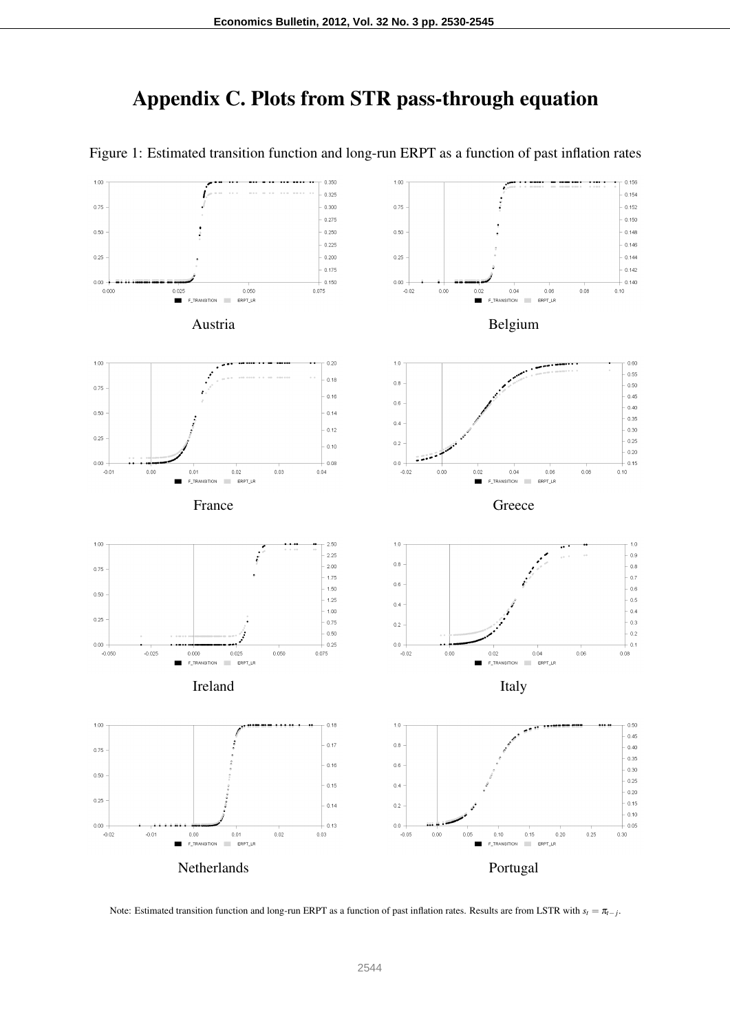## Appendix C. Plots from STR pass-through equation



Figure 1: Estimated transition function and long-run ERPT as a function of past inflation rates

Note: Estimated transition function and long-run ERPT as a function of past inflation rates. Results are from LSTR with  $s_t = \pi_{t-j}$ .